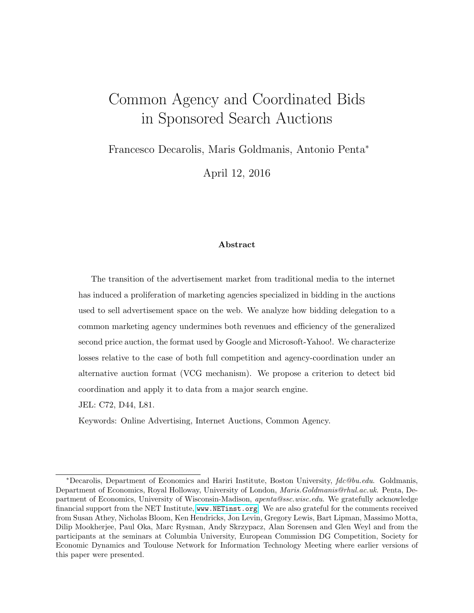# <span id="page-0-0"></span>Common Agency and Coordinated Bids in Sponsored Search Auctions

Francesco Decarolis, Maris Goldmanis, Antonio Penta<sup>∗</sup>

April 12, 2016

#### Abstract

The transition of the advertisement market from traditional media to the internet has induced a proliferation of marketing agencies specialized in bidding in the auctions used to sell advertisement space on the web. We analyze how bidding delegation to a common marketing agency undermines both revenues and efficiency of the generalized second price auction, the format used by Google and Microsoft-Yahoo!. We characterize losses relative to the case of both full competition and agency-coordination under an alternative auction format (VCG mechanism). We propose a criterion to detect bid coordination and apply it to data from a major search engine.

JEL: C72, D44, L81.

Keywords: Online Advertising, Internet Auctions, Common Agency.

<sup>∗</sup>Decarolis, Department of Economics and Hariri Institute, Boston University, fdc@bu.edu. Goldmanis, Department of Economics, Royal Holloway, University of London, Maris.Goldmanis@rhul.ac.uk. Penta, Department of Economics, University of Wisconsin-Madison, apenta@ssc.wisc.edu. We gratefully acknowledge financial support from the NET Institute, <www.NETinst.org>. We are also grateful for the comments received from Susan Athey, Nicholas Bloom, Ken Hendricks, Jon Levin, Gregory Lewis, Bart Lipman, Massimo Motta, Dilip Mookherjee, Paul Oka, Marc Rysman, Andy Skrzypacz, Alan Sorensen and Glen Weyl and from the participants at the seminars at Columbia University, European Commission DG Competition, Society for Economic Dynamics and Toulouse Network for Information Technology Meeting where earlier versions of this paper were presented.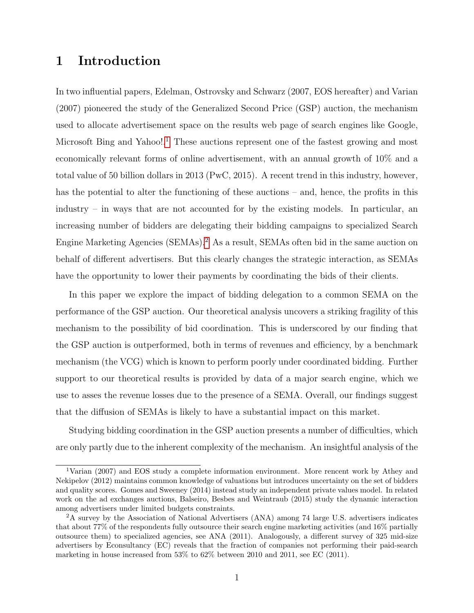### 1 Introduction

In two influential papers, Edelman, Ostrovsky and Schwarz (2007, EOS hereafter) and Varian (2007) pioneered the study of the Generalized Second Price (GSP) auction, the mechanism used to allocate advertisement space on the results web page of search engines like Google, Microsoft Bing and Yahoo!.<sup>[1](#page-0-0)</sup> These auctions represent one of the fastest growing and most economically relevant forms of online advertisement, with an annual growth of 10% and a total value of 50 billion dollars in 2013 (PwC, 2015). A recent trend in this industry, however, has the potential to alter the functioning of these auctions – and, hence, the profits in this industry – in ways that are not accounted for by the existing models. In particular, an increasing number of bidders are delegating their bidding campaigns to specialized Search Engine Marketing Agencies (SEMAs).[2](#page-0-0) As a result, SEMAs often bid in the same auction on behalf of different advertisers. But this clearly changes the strategic interaction, as SEMAs have the opportunity to lower their payments by coordinating the bids of their clients.

In this paper we explore the impact of bidding delegation to a common SEMA on the performance of the GSP auction. Our theoretical analysis uncovers a striking fragility of this mechanism to the possibility of bid coordination. This is underscored by our finding that the GSP auction is outperformed, both in terms of revenues and efficiency, by a benchmark mechanism (the VCG) which is known to perform poorly under coordinated bidding. Further support to our theoretical results is provided by data of a major search engine, which we use to asses the revenue losses due to the presence of a SEMA. Overall, our findings suggest that the diffusion of SEMAs is likely to have a substantial impact on this market.

Studying bidding coordination in the GSP auction presents a number of difficulties, which are only partly due to the inherent complexity of the mechanism. An insightful analysis of the

<sup>1</sup>Varian (2007) and EOS study a complete information environment. More rencent work by Athey and Nekipelov (2012) maintains common knowledge of valuations but introduces uncertainty on the set of bidders and quality scores. Gomes and Sweeney (2014) instead study an independent private values model. In related work on the ad exchanges auctions, Balseiro, Besbes and Weintraub (2015) study the dynamic interaction among advertisers under limited budgets constraints.

<sup>2</sup>A survey by the Association of National Advertisers (ANA) among 74 large U.S. advertisers indicates that about 77% of the respondents fully outsource their search engine marketing activities (and 16% partially outsource them) to specialized agencies, see ANA (2011). Analogously, a different survey of 325 mid-size advertisers by Econsultancy (EC) reveals that the fraction of companies not performing their paid-search marketing in house increased from 53% to 62% between 2010 and 2011, see EC (2011).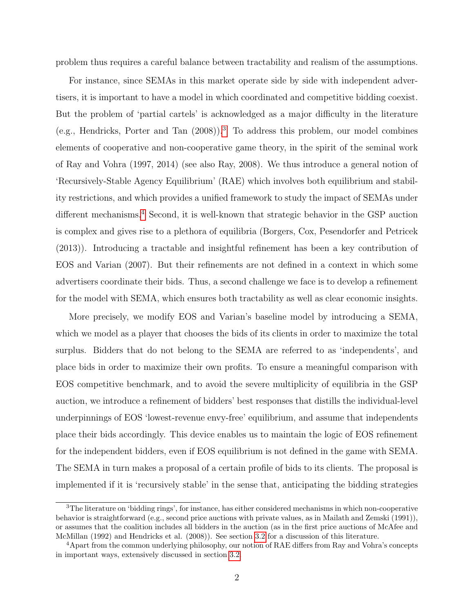problem thus requires a careful balance between tractability and realism of the assumptions.

For instance, since SEMAs in this market operate side by side with independent advertisers, it is important to have a model in which coordinated and competitive bidding coexist. But the problem of 'partial cartels' is acknowledged as a major difficulty in the literature (e.g., Hendricks, Porter and Tan  $(2008)$ ).<sup>[3](#page-0-0)</sup> To address this problem, our model combines elements of cooperative and non-cooperative game theory, in the spirit of the seminal work of Ray and Vohra (1997, 2014) (see also Ray, 2008). We thus introduce a general notion of 'Recursively-Stable Agency Equilibrium' (RAE) which involves both equilibrium and stability restrictions, and which provides a unified framework to study the impact of SEMAs under different mechanisms.<sup>[4](#page-0-0)</sup> Second, it is well-known that strategic behavior in the GSP auction is complex and gives rise to a plethora of equilibria (Borgers, Cox, Pesendorfer and Petricek (2013)). Introducing a tractable and insightful refinement has been a key contribution of EOS and Varian (2007). But their refinements are not defined in a context in which some advertisers coordinate their bids. Thus, a second challenge we face is to develop a refinement for the model with SEMA, which ensures both tractability as well as clear economic insights.

More precisely, we modify EOS and Varian's baseline model by introducing a SEMA, which we model as a player that chooses the bids of its clients in order to maximize the total surplus. Bidders that do not belong to the SEMA are referred to as 'independents', and place bids in order to maximize their own profits. To ensure a meaningful comparison with EOS competitive benchmark, and to avoid the severe multiplicity of equilibria in the GSP auction, we introduce a refinement of bidders' best responses that distills the individual-level underpinnings of EOS 'lowest-revenue envy-free' equilibrium, and assume that independents place their bids accordingly. This device enables us to maintain the logic of EOS refinement for the independent bidders, even if EOS equilibrium is not defined in the game with SEMA. The SEMA in turn makes a proposal of a certain profile of bids to its clients. The proposal is implemented if it is 'recursively stable' in the sense that, anticipating the bidding strategies

<sup>3</sup>The literature on 'bidding rings', for instance, has either considered mechanisms in which non-cooperative behavior is straightforward (e.g., second price auctions with private values, as in Mailath and Zemski (1991)), or assumes that the coalition includes all bidders in the auction (as in the first price auctions of McAfee and McMillan (1992) and Hendricks et al. (2008)). See section [3.2](#page-12-0) for a discussion of this literature.

<sup>4</sup>Apart from the common underlying philosophy, our notion of RAE differs from Ray and Vohra's concepts in important ways, extensively discussed in section [3.2.](#page-12-0)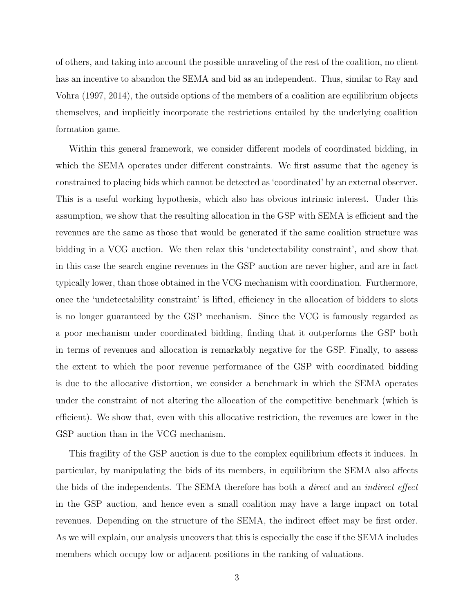of others, and taking into account the possible unraveling of the rest of the coalition, no client has an incentive to abandon the SEMA and bid as an independent. Thus, similar to Ray and Vohra (1997, 2014), the outside options of the members of a coalition are equilibrium objects themselves, and implicitly incorporate the restrictions entailed by the underlying coalition formation game.

Within this general framework, we consider different models of coordinated bidding, in which the SEMA operates under different constraints. We first assume that the agency is constrained to placing bids which cannot be detected as 'coordinated' by an external observer. This is a useful working hypothesis, which also has obvious intrinsic interest. Under this assumption, we show that the resulting allocation in the GSP with SEMA is efficient and the revenues are the same as those that would be generated if the same coalition structure was bidding in a VCG auction. We then relax this 'undetectability constraint', and show that in this case the search engine revenues in the GSP auction are never higher, and are in fact typically lower, than those obtained in the VCG mechanism with coordination. Furthermore, once the 'undetectability constraint' is lifted, efficiency in the allocation of bidders to slots is no longer guaranteed by the GSP mechanism. Since the VCG is famously regarded as a poor mechanism under coordinated bidding, finding that it outperforms the GSP both in terms of revenues and allocation is remarkably negative for the GSP. Finally, to assess the extent to which the poor revenue performance of the GSP with coordinated bidding is due to the allocative distortion, we consider a benchmark in which the SEMA operates under the constraint of not altering the allocation of the competitive benchmark (which is efficient). We show that, even with this allocative restriction, the revenues are lower in the GSP auction than in the VCG mechanism.

This fragility of the GSP auction is due to the complex equilibrium effects it induces. In particular, by manipulating the bids of its members, in equilibrium the SEMA also affects the bids of the independents. The SEMA therefore has both a *direct* and an *indirect effect* in the GSP auction, and hence even a small coalition may have a large impact on total revenues. Depending on the structure of the SEMA, the indirect effect may be first order. As we will explain, our analysis uncovers that this is especially the case if the SEMA includes members which occupy low or adjacent positions in the ranking of valuations.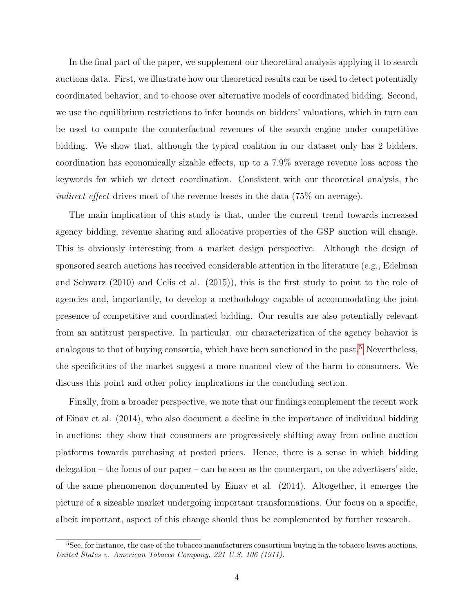In the final part of the paper, we supplement our theoretical analysis applying it to search auctions data. First, we illustrate how our theoretical results can be used to detect potentially coordinated behavior, and to choose over alternative models of coordinated bidding. Second, we use the equilibrium restrictions to infer bounds on bidders' valuations, which in turn can be used to compute the counterfactual revenues of the search engine under competitive bidding. We show that, although the typical coalition in our dataset only has 2 bidders, coordination has economically sizable effects, up to a 7.9% average revenue loss across the keywords for which we detect coordination. Consistent with our theoretical analysis, the indirect effect drives most of the revenue losses in the data (75% on average).

The main implication of this study is that, under the current trend towards increased agency bidding, revenue sharing and allocative properties of the GSP auction will change. This is obviously interesting from a market design perspective. Although the design of sponsored search auctions has received considerable attention in the literature (e.g., Edelman and Schwarz (2010) and Celis et al. (2015)), this is the first study to point to the role of agencies and, importantly, to develop a methodology capable of accommodating the joint presence of competitive and coordinated bidding. Our results are also potentially relevant from an antitrust perspective. In particular, our characterization of the agency behavior is analogous to that of buying consortia, which have been sanctioned in the past.<sup>[5](#page-0-0)</sup> Nevertheless, the specificities of the market suggest a more nuanced view of the harm to consumers. We discuss this point and other policy implications in the concluding section.

Finally, from a broader perspective, we note that our findings complement the recent work of Einav et al. (2014), who also document a decline in the importance of individual bidding in auctions: they show that consumers are progressively shifting away from online auction platforms towards purchasing at posted prices. Hence, there is a sense in which bidding delegation – the focus of our paper – can be seen as the counterpart, on the advertisers' side, of the same phenomenon documented by Einav et al. (2014). Altogether, it emerges the picture of a sizeable market undergoing important transformations. Our focus on a specific, albeit important, aspect of this change should thus be complemented by further research.

<sup>&</sup>lt;sup>5</sup>See, for instance, the case of the tobacco manufacturers consortium buying in the tobacco leaves auctions, United States v. American Tobacco Company, 221 U.S. 106 (1911).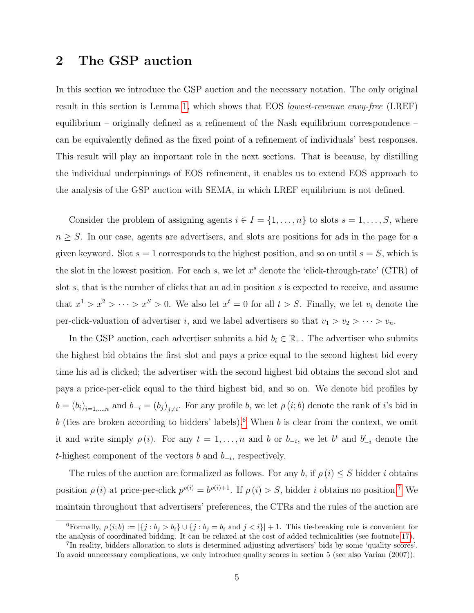### <span id="page-5-0"></span>2 The GSP auction

In this section we introduce the GSP auction and the necessary notation. The only original result in this section is Lemma [1,](#page-6-0) which shows that EOS lowest-revenue envy-free (LREF) equilibrium – originally defined as a refinement of the Nash equilibrium correspondence – can be equivalently defined as the fixed point of a refinement of individuals' best responses. This result will play an important role in the next sections. That is because, by distilling the individual underpinnings of EOS refinement, it enables us to extend EOS approach to the analysis of the GSP auction with SEMA, in which LREF equilibrium is not defined.

Consider the problem of assigning agents  $i \in I = \{1, \ldots, n\}$  to slots  $s = 1, \ldots, S$ , where  $n \geq S$ . In our case, agents are advertisers, and slots are positions for ads in the page for a given keyword. Slot  $s = 1$  corresponds to the highest position, and so on until  $s = S$ , which is the slot in the lowest position. For each s, we let  $x^s$  denote the 'click-through-rate' (CTR) of slot s, that is the number of clicks that an ad in position s is expected to receive, and assume that  $x^1 > x^2 > \cdots > x^S > 0$ . We also let  $x^t = 0$  for all  $t > S$ . Finally, we let  $v_i$  denote the per-click-valuation of advertiser i, and we label advertisers so that  $v_1 > v_2 > \cdots > v_n$ .

In the GSP auction, each advertiser submits a bid  $b_i \in \mathbb{R}_+$ . The advertiser who submits the highest bid obtains the first slot and pays a price equal to the second highest bid every time his ad is clicked; the advertiser with the second highest bid obtains the second slot and pays a price-per-click equal to the third highest bid, and so on. We denote bid profiles by  $b = (b_i)_{i=1,\dots,n}$  and  $b_{-i} = (b_j)_{j \neq i}$ . For any profile b, we let  $\rho(i; b)$  denote the rank of i's bid in b (ties are broken according to bidders' labels).<sup>[6](#page-0-0)</sup> When b is clear from the context, we omit it and write simply  $\rho(i)$ . For any  $t = 1, \ldots, n$  and b or  $b_{-i}$ , we let  $b^t$  and  $b_{-i}^t$  denote the t-highest component of the vectors b and  $b_{-i}$ , respectively.

The rules of the auction are formalized as follows. For any b, if  $\rho(i) \leq S$  bidder i obtains position  $\rho(i)$  at price-per-click  $p^{\rho(i)} = b^{\rho(i)+1}$ . If  $\rho(i) > S$ , bidder *i* obtains no position.<sup>[7](#page-0-0)</sup> We maintain throughout that advertisers' preferences, the CTRs and the rules of the auction are

<sup>&</sup>lt;sup>6</sup>Formally,  $\rho(i; b) := |\{j : b_j > b_i\} \cup \{j : b_j = b_i \text{ and } j < i\}| + 1$ . This tie-breaking rule is convenient for the analysis of coordinated bidding. It can be relaxed at the cost of added technicalities (see footnote [17\)](#page-13-0).

<sup>&</sup>lt;sup>7</sup>In reality, bidders allocation to slots is determined adjusting advertisers' bids by some 'quality scores'. To avoid unnecessary complications, we only introduce quality scores in section 5 (see also Varian (2007)).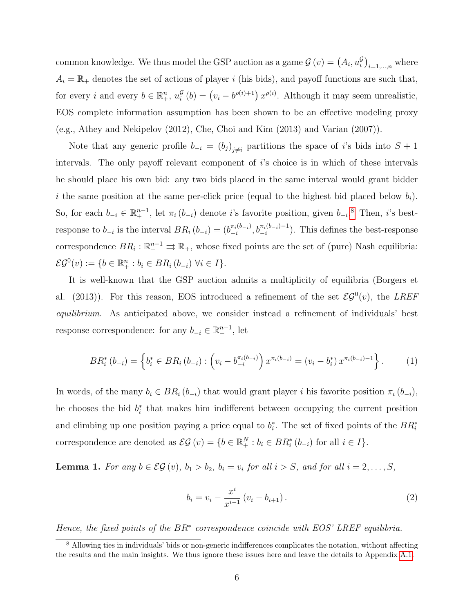common knowledge. We thus model the GSP auction as a game  $\mathcal{G}(v) = (A_i, u_i^{\mathcal{G}})_{i=1,\dots,n}$  where  $A_i = \mathbb{R}_+$  denotes the set of actions of player i (his bids), and payoff functions are such that, for every i and every  $b \in \mathbb{R}_+^n$ ,  $u_i^{\mathcal{G}}$  $\mathcal{G}_i(t) = (v_i - b^{\rho(i)+1}) x^{\rho(i)}$ . Although it may seem unrealistic, EOS complete information assumption has been shown to be an effective modeling proxy (e.g., Athey and Nekipelov (2012), Che, Choi and Kim (2013) and Varian (2007)).

Note that any generic profile  $b_{-i} = (b_j)_{j \neq i}$  partitions the space of i's bids into  $S + 1$ intervals. The only payoff relevant component of  $i$ 's choice is in which of these intervals he should place his own bid: any two bids placed in the same interval would grant bidder i the same position at the same per-click price (equal to the highest bid placed below  $b_i$ ). So, for each  $b_{-i} \in \mathbb{R}^{n-1}$ , let  $\pi_i(b_{-i})$  denote i's favorite position, given  $b_{-i}$ .<sup>[8](#page-0-0)</sup> Then, i's bestresponse to  $b_{-i}$  is the interval  $BR_i(b_{-i}) = (b_{-i}^{\pi_i(b_{-i})})$  $\frac{\pi_i(b_{-i})}{-i}, \, b_{-i}^{\pi_i(b_{-i})-1}$ ). This defines the best-response correspondence  $BR_i: \mathbb{R}^{n-1}_+ \rightrightarrows \mathbb{R}_+$ , whose fixed points are the set of (pure) Nash equilibria:  $\mathcal{EG}^0(v) := \{b \in \mathbb{R}^n_+ : b_i \in BR_i (b_{-i}) \ \forall i \in I\}.$ 

It is well-known that the GSP auction admits a multiplicity of equilibria (Borgers et al. (2013)). For this reason, EOS introduced a refinement of the set  $\mathcal{EG}^0(v)$ , the LREF equilibrium. As anticipated above, we consider instead a refinement of individuals' best response correspondence: for any  $b_{-i} \in \mathbb{R}^{n-1}_+$ , let

<span id="page-6-1"></span>
$$
BR_i^*(b_{-i}) = \left\{ b_i^* \in BR_i(b_{-i}) : \left( v_i - b_{-i}^{\pi_i(b_{-i})} \right) x^{\pi_i(b_{-i})} = (v_i - b_i^*) x^{\pi_i(b_{-i})-1} \right\}.
$$
 (1)

In words, of the many  $b_i \in BR_i(b_{-i})$  that would grant player i his favorite position  $\pi_i(b_{-i}),$ he chooses the bid  $b_i^*$  that makes him indifferent between occupying the current position and climbing up one position paying a price equal to  $b_i^*$ . The set of fixed points of the  $BR_i^*$ correspondence are denoted as  $\mathcal{EG}(v) = \{b \in \mathbb{R}_+^N : b_i \in BR_i^*(b_{-i}) \text{ for all } i \in I\}.$ 

<span id="page-6-0"></span>**Lemma 1.** For any  $b \in \mathcal{EG}(v)$ ,  $b_1 > b_2$ ,  $b_i = v_i$  for all  $i > S$ , and for all  $i = 2, ..., S$ ,

<span id="page-6-2"></span>
$$
b_i = v_i - \frac{x^i}{x^{i-1}} (v_i - b_{i+1}).
$$
\n(2)

Hence, the fixed points of the BR<sup>∗</sup> correspondence coincide with EOS' LREF equilibria.

<sup>8</sup> Allowing ties in individuals' bids or non-generic indifferences complicates the notation, without affecting the results and the main insights. We thus ignore these issues here and leave the details to Appendix [A.1.](#page-33-0)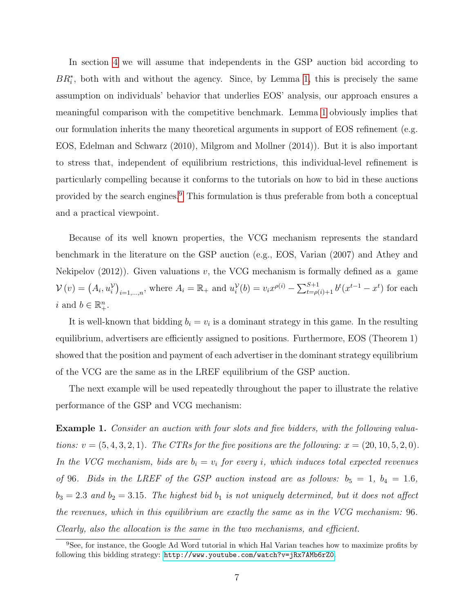In section [4](#page-13-1) we will assume that independents in the GSP auction bid according to  $BR_i^*$ , both with and without the agency. Since, by Lemma [1,](#page-6-0) this is precisely the same assumption on individuals' behavior that underlies EOS' analysis, our approach ensures a meaningful comparison with the competitive benchmark. Lemma [1](#page-6-0) obviously implies that our formulation inherits the many theoretical arguments in support of EOS refinement (e.g. EOS, Edelman and Schwarz (2010), Milgrom and Mollner (2014)). But it is also important to stress that, independent of equilibrium restrictions, this individual-level refinement is particularly compelling because it conforms to the tutorials on how to bid in these auctions provided by the search engines.[9](#page-0-0) This formulation is thus preferable from both a conceptual and a practical viewpoint.

Because of its well known properties, the VCG mechanism represents the standard benchmark in the literature on the GSP auction (e.g., EOS, Varian (2007) and Athey and Nekipelov  $(2012)$ ). Given valuations v, the VCG mechanism is formally defined as a game  $V(v) = (A_i, u_i^{\mathcal{V}})_{i=1,...,n}$ , where  $A_i = \mathbb{R}_+$  and  $u_i^{\mathcal{V}}(b) = v_i x^{\rho(i)} - \sum_{t=\rho(i)+1}^{S+1} b^t (x^{t-1} - x^t)$  for each i and  $b \in \mathbb{R}^n_+$ .

It is well-known that bidding  $b_i = v_i$  is a dominant strategy in this game. In the resulting equilibrium, advertisers are efficiently assigned to positions. Furthermore, EOS (Theorem 1) showed that the position and payment of each advertiser in the dominant strategy equilibrium of the VCG are the same as in the LREF equilibrium of the GSP auction.

The next example will be used repeatedly throughout the paper to illustrate the relative performance of the GSP and VCG mechanism:

<span id="page-7-0"></span>Example 1. Consider an auction with four slots and five bidders, with the following valuations:  $v = (5, 4, 3, 2, 1)$ . The CTRs for the five positions are the following:  $x = (20, 10, 5, 2, 0)$ . In the VCG mechanism, bids are  $b_i = v_i$  for every i, which induces total expected revenues of 96. Bids in the LREF of the GSP auction instead are as follows:  $b_5 = 1$ ,  $b_4 = 1.6$ ,  $b_3 = 2.3$  and  $b_2 = 3.15$ . The highest bid  $b_1$  is not uniquely determined, but it does not affect the revenues, which in this equilibrium are exactly the same as in the VCG mechanism: 96. Clearly, also the allocation is the same in the two mechanisms, and efficient.

<sup>&</sup>lt;sup>9</sup>See, for instance, the Google Ad Word tutorial in which Hal Varian teaches how to maximize profits by following this bidding strategy: <http://www.youtube.com/watch?v=jRx7AMb6rZ0>.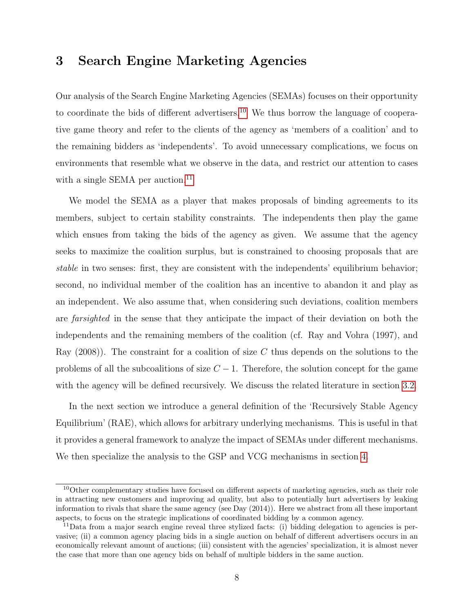### 3 Search Engine Marketing Agencies

Our analysis of the Search Engine Marketing Agencies (SEMAs) focuses on their opportunity to coordinate the bids of different advertisers.<sup>[10](#page-0-0)</sup> We thus borrow the language of cooperative game theory and refer to the clients of the agency as 'members of a coalition' and to the remaining bidders as 'independents'. To avoid unnecessary complications, we focus on environments that resemble what we observe in the data, and restrict our attention to cases with a single SEMA per auction.<sup>[11](#page-0-0)</sup>

We model the SEMA as a player that makes proposals of binding agreements to its members, subject to certain stability constraints. The independents then play the game which ensues from taking the bids of the agency as given. We assume that the agency seeks to maximize the coalition surplus, but is constrained to choosing proposals that are stable in two senses: first, they are consistent with the independents' equilibrium behavior; second, no individual member of the coalition has an incentive to abandon it and play as an independent. We also assume that, when considering such deviations, coalition members are farsighted in the sense that they anticipate the impact of their deviation on both the independents and the remaining members of the coalition (cf. Ray and Vohra (1997), and Ray  $(2008)$ . The constraint for a coalition of size C thus depends on the solutions to the problems of all the subcoalitions of size  $C-1$ . Therefore, the solution concept for the game with the agency will be defined recursively. We discuss the related literature in section [3.2.](#page-12-0)

In the next section we introduce a general definition of the 'Recursively Stable Agency Equilibrium' (RAE), which allows for arbitrary underlying mechanisms. This is useful in that it provides a general framework to analyze the impact of SEMAs under different mechanisms. We then specialize the analysis to the GSP and VCG mechanisms in section [4.](#page-13-1)

<sup>&</sup>lt;sup>10</sup>Other complementary studies have focused on different aspects of marketing agencies, such as their role in attracting new customers and improving ad quality, but also to potentially hurt advertisers by leaking information to rivals that share the same agency (see Day (2014)). Here we abstract from all these important aspects, to focus on the strategic implications of coordinated bidding by a common agency.

<sup>&</sup>lt;sup>11</sup>Data from a major search engine reveal three stylized facts: (i) bidding delegation to agencies is pervasive; (ii) a common agency placing bids in a single auction on behalf of different advertisers occurs in an economically relevant amount of auctions; (iii) consistent with the agencies' specialization, it is almost never the case that more than one agency bids on behalf of multiple bidders in the same auction.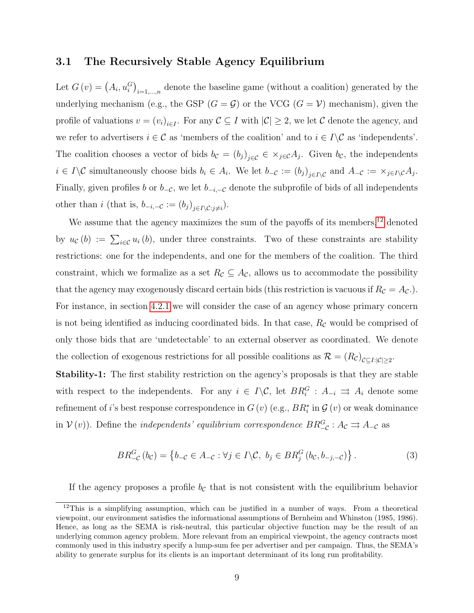### 3.1 The Recursively Stable Agency Equilibrium

Let  $G(v) = (A_i, u_i^G)_{i=1,\dots,n}$  denote the baseline game (without a coalition) generated by the underlying mechanism (e.g., the GSP  $(G = \mathcal{G})$  or the VCG  $(G = \mathcal{V})$  mechanism), given the profile of valuations  $v = (v_i)_{i \in I}$ . For any  $C \subseteq I$  with  $|C| \geq 2$ , we let C denote the agency, and we refer to advertisers  $i \in \mathcal{C}$  as 'members of the coalition' and to  $i \in I \setminus \mathcal{C}$  as 'independents'. The coalition chooses a vector of bids  $b_c = (b_j)_{j \in \mathcal{C}} \in \times_{j \in \mathcal{C}} A_j$ . Given  $b_c$ , the independents  $i \in I \backslash C$  simultaneously choose bids  $b_i \in A_i$ . We let  $b_{-\mathcal{C}} := (b_j)_{j \in I \backslash C}$  and  $A_{-\mathcal{C}} := \times_{j \in I \backslash C} A_j$ . Finally, given profiles b or  $b_{-\mathcal{C}}$ , we let  $b_{-i,-\mathcal{C}}$  denote the subprofile of bids of all independents other than *i* (that is,  $b_{-i,-\mathcal{C}} := (b_j)_{j \in I \setminus \mathcal{C}:j \neq i}$ ).

We assume that the agency maximizes the sum of the payoffs of its members,<sup>[12](#page-0-0)</sup> denoted by  $u_{\mathcal{C}}(b) := \sum_{i \in \mathcal{C}} u_i(b)$ , under three constraints. Two of these constraints are stability restrictions: one for the independents, and one for the members of the coalition. The third constraint, which we formalize as a set  $R_{\mathcal{C}} \subseteq A_{\mathcal{C}}$ , allows us to accommodate the possibility that the agency may exogenously discard certain bids (this restriction is vacuous if  $R_c = A_c$ .). For instance, in section [4.2.1](#page-17-0) we will consider the case of an agency whose primary concern is not being identified as inducing coordinated bids. In that case,  $R_c$  would be comprised of only those bids that are 'undetectable' to an external observer as coordinated. We denote the collection of exogenous restrictions for all possible coalitions as  $\mathcal{R} = (R_{\mathcal{C}})_{\mathcal{C} \subseteq I: |\mathcal{C}| \geq 2}$ .

Stability-1: The first stability restriction on the agency's proposals is that they are stable with respect to the independents. For any  $i \in I \backslash C$ , let  $BR_i^G : A_{-i} \implies A_i$  denote some refinement of *i*'s best response correspondence in  $G\left(v\right)$  (e.g.,  $BR_{i}^{\ast}$  in  $\mathcal{G}\left(v\right)$  or weak dominance in  $V(v)$ ). Define the *independents' equilibrium correspondence*  $BR_{-c}^G$ :  $A_c \rightrightarrows A_{-c}$  as

<span id="page-9-0"></span>
$$
BR_{-\mathcal{C}}^G(b_{\mathcal{C}}) = \left\{ b_{-\mathcal{C}} \in A_{-\mathcal{C}} : \forall j \in I \setminus \mathcal{C}, \ b_j \in BR_j^G(b_{\mathcal{C}}, b_{-j,-\mathcal{C}}) \right\}.
$$
 (3)

If the agency proposes a profile  $b<sub>c</sub>$  that is not consistent with the equilibrium behavior

<sup>&</sup>lt;sup>12</sup>This is a simplifying assumption, which can be justified in a number of ways. From a theoretical viewpoint, our environment satisfies the informational assumptions of Bernheim and Whinston (1985, 1986). Hence, as long as the SEMA is risk-neutral, this particular objective function may be the result of an underlying common agency problem. More relevant from an empirical viewpoint, the agency contracts most commonly used in this industry specify a lump-sum fee per advertiser and per campaign. Thus, the SEMA's ability to generate surplus for its clients is an important determinant of its long run profitability.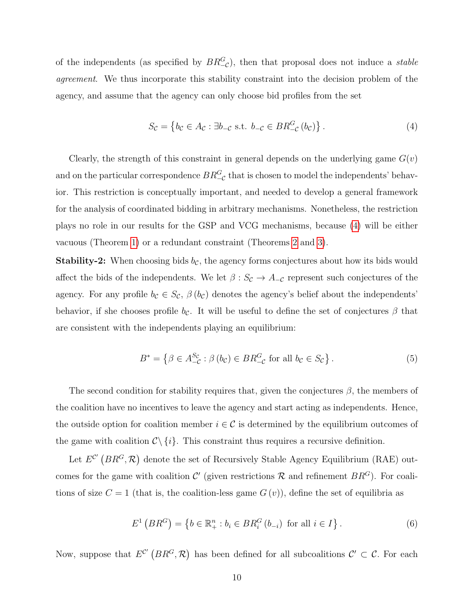of the independents (as specified by  $BR_{-\mathcal{C}}^G$ ), then that proposal does not induce a *stable* agreement. We thus incorporate this stability constraint into the decision problem of the agency, and assume that the agency can only choose bid profiles from the set

<span id="page-10-0"></span>
$$
S_{\mathcal{C}} = \left\{ b_{\mathcal{C}} \in A_{\mathcal{C}} : \exists b_{-\mathcal{C}} \text{ s.t. } b_{-\mathcal{C}} \in BR_{-\mathcal{C}}^G(b_{\mathcal{C}}) \right\}. \tag{4}
$$

Clearly, the strength of this constraint in general depends on the underlying game  $G(v)$ and on the particular correspondence  $BR_{-\mathcal{C}}^G$  that is chosen to model the independents' behavior. This restriction is conceptually important, and needed to develop a general framework for the analysis of coordinated bidding in arbitrary mechanisms. Nonetheless, the restriction plays no role in our results for the GSP and VCG mechanisms, because [\(4\)](#page-10-0) will be either vacuous (Theorem [1\)](#page-14-0) or a redundant constraint (Theorems [2](#page-17-1) and [3\)](#page-20-0).

**Stability-2:** When choosing bids  $b_{\mathcal{C}}$ , the agency forms conjectures about how its bids would affect the bids of the independents. We let  $\beta: S_{\mathcal{C}} \to A_{-\mathcal{C}}$  represent such conjectures of the agency. For any profile  $b_c \in S_c$ ,  $\beta(b_c)$  denotes the agency's belief about the independents' behavior, if she chooses profile  $b_{\mathcal{C}}$ . It will be useful to define the set of conjectures  $\beta$  that are consistent with the independents playing an equilibrium:

$$
B^* = \left\{ \beta \in A_{-\mathcal{C}}^{S_{\mathcal{C}}} : \beta(b_{\mathcal{C}}) \in BR_{-\mathcal{C}}^G \text{ for all } b_{\mathcal{C}} \in S_{\mathcal{C}} \right\}.
$$
 (5)

The second condition for stability requires that, given the conjectures  $\beta$ , the members of the coalition have no incentives to leave the agency and start acting as independents. Hence, the outside option for coalition member  $i \in \mathcal{C}$  is determined by the equilibrium outcomes of the game with coalition  $C \setminus \{i\}$ . This constraint thus requires a recursive definition.

Let  $E^{\mathcal{C}'}(BR^G,\mathcal{R})$  denote the set of Recursively Stable Agency Equilibrium (RAE) outcomes for the game with coalition C' (given restrictions R and refinement  $BR<sup>G</sup>$ ). For coalitions of size  $C = 1$  (that is, the coalition-less game  $G(v)$ ), define the set of equilibria as

<span id="page-10-1"></span>
$$
E^{1} (BR^{G}) = \{ b \in \mathbb{R}_{+}^{n} : b_{i} \in BR_{i}^{G} (b_{-i}) \text{ for all } i \in I \}.
$$
 (6)

Now, suppose that  $E^{C'}(BR^G,\mathcal{R})$  has been defined for all subcoalitions  $C' \subset \mathcal{C}$ . For each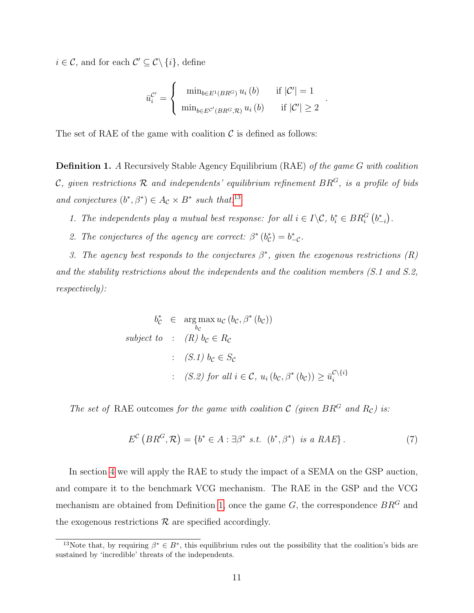$i \in \mathcal{C}$ , and for each  $\mathcal{C}' \subseteq \mathcal{C} \setminus \{i\}$ , define

$$
\bar{u}_{i}^{\mathcal{C}'} = \begin{cases}\n\min_{b \in E^{1}(BR^{G})} u_{i}(b) & \text{if } |\mathcal{C}'| = 1 \\
\min_{b \in E^{\mathcal{C}'}(BR^{G}, \mathcal{R})} u_{i}(b) & \text{if } |\mathcal{C}'| \ge 2\n\end{cases}
$$

.

The set of RAE of the game with coalition  $\mathcal C$  is defined as follows:

<span id="page-11-0"></span>Definition 1. A Recursively Stable Agency Equilibrium (RAE) of the game G with coalition C, given restrictions  $\mathcal R$  and independents' equilibrium refinement  $BR^G$ , is a profile of bids and conjectures  $(b^*, \beta^*) \in A_c \times B^*$  such that:<sup>[13](#page-0-0)</sup>

- 1. The independents play a mutual best response: for all  $i \in I \backslash \mathcal{C}$ ,  $b_i^* \in BR_i^G(b_{-i}^*)$ .
- 2. The conjectures of the agency are correct:  $\beta^*(b_c^*) = b_{-c}^*$ .

3. The agency best responds to the conjectures  $\beta^*$ , given the exogenous restrictions  $(R)$ and the stability restrictions about the independents and the coalition members (S.1 and S.2, respectively):

$$
b_{\mathcal{C}}^* \in \underset{b_{\mathcal{C}}}{\text{arg max}} u_{\mathcal{C}} (b_{\mathcal{C}}, \beta^* (b_{\mathcal{C}}))
$$
  
subject to :  $(R) b_{\mathcal{C}} \in R_{\mathcal{C}}$   
 :  $(S.1) b_{\mathcal{C}} \in S_{\mathcal{C}}$   
 :  $(S.2) \text{ for all } i \in \mathcal{C}, u_i (b_{\mathcal{C}}, \beta^* (b_{\mathcal{C}})) \ge \overline{u}_i^{\mathcal{C} \setminus \{i\}}$ 

The set of RAE outcomes for the game with coalition  $C$  (given  $BR<sup>G</sup>$  and  $R<sub>C</sub>$ ) is:

$$
E^{\mathcal{C}}\left(BR^{G},\mathcal{R}\right) = \{b^{*} \in A : \exists \beta^{*} \ s.t. \ (b^{*}, \beta^{*}) \ \text{is a RAE}\} \,. \tag{7}
$$

In section [4](#page-13-1) we will apply the RAE to study the impact of a SEMA on the GSP auction, and compare it to the benchmark VCG mechanism. The RAE in the GSP and the VCG mechanism are obtained from Definition [1,](#page-11-0) once the game  $G$ , the correspondence  $BR^G$  and the exogenous restrictions  $\mathcal R$  are specified accordingly.

<sup>&</sup>lt;sup>13</sup>Note that, by requiring  $\beta^* \in B^*$ , this equilibrium rules out the possibility that the coalition's bids are sustained by 'incredible' threats of the independents.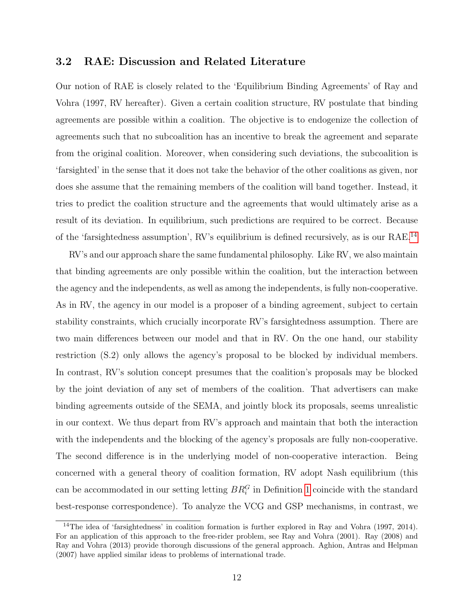### <span id="page-12-0"></span>3.2 RAE: Discussion and Related Literature

Our notion of RAE is closely related to the 'Equilibrium Binding Agreements' of Ray and Vohra (1997, RV hereafter). Given a certain coalition structure, RV postulate that binding agreements are possible within a coalition. The objective is to endogenize the collection of agreements such that no subcoalition has an incentive to break the agreement and separate from the original coalition. Moreover, when considering such deviations, the subcoalition is 'farsighted' in the sense that it does not take the behavior of the other coalitions as given, nor does she assume that the remaining members of the coalition will band together. Instead, it tries to predict the coalition structure and the agreements that would ultimately arise as a result of its deviation. In equilibrium, such predictions are required to be correct. Because of the 'farsightedness assumption', RV's equilibrium is defined recursively, as is our RAE.[14](#page-0-0)

RV's and our approach share the same fundamental philosophy. Like RV, we also maintain that binding agreements are only possible within the coalition, but the interaction between the agency and the independents, as well as among the independents, is fully non-cooperative. As in RV, the agency in our model is a proposer of a binding agreement, subject to certain stability constraints, which crucially incorporate RV's farsightedness assumption. There are two main differences between our model and that in RV. On the one hand, our stability restriction (S.2) only allows the agency's proposal to be blocked by individual members. In contrast, RV's solution concept presumes that the coalition's proposals may be blocked by the joint deviation of any set of members of the coalition. That advertisers can make binding agreements outside of the SEMA, and jointly block its proposals, seems unrealistic in our context. We thus depart from RV's approach and maintain that both the interaction with the independents and the blocking of the agency's proposals are fully non-cooperative. The second difference is in the underlying model of non-cooperative interaction. Being concerned with a general theory of coalition formation, RV adopt Nash equilibrium (this can be accommodated in our setting letting  $BR_i^G$  in Definition [1](#page-11-0) coincide with the standard best-response correspondence). To analyze the VCG and GSP mechanisms, in contrast, we

<sup>14</sup>The idea of 'farsightedness' in coalition formation is further explored in Ray and Vohra (1997, 2014). For an application of this approach to the free-rider problem, see Ray and Vohra (2001). Ray (2008) and Ray and Vohra (2013) provide thorough discussions of the general approach. Aghion, Antras and Helpman (2007) have applied similar ideas to problems of international trade.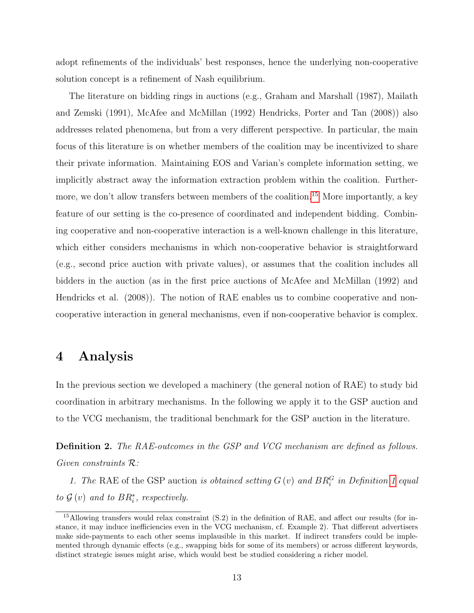adopt refinements of the individuals' best responses, hence the underlying non-cooperative solution concept is a refinement of Nash equilibrium.

The literature on bidding rings in auctions (e.g., Graham and Marshall (1987), Mailath and Zemski (1991), McAfee and McMillan (1992) Hendricks, Porter and Tan (2008)) also addresses related phenomena, but from a very different perspective. In particular, the main focus of this literature is on whether members of the coalition may be incentivized to share their private information. Maintaining EOS and Varian's complete information setting, we implicitly abstract away the information extraction problem within the coalition. Further-more, we don't allow transfers between members of the coalition.<sup>[15](#page-0-0)</sup> More importantly, a key feature of our setting is the co-presence of coordinated and independent bidding. Combining cooperative and non-cooperative interaction is a well-known challenge in this literature, which either considers mechanisms in which non-cooperative behavior is straightforward (e.g., second price auction with private values), or assumes that the coalition includes all bidders in the auction (as in the first price auctions of McAfee and McMillan (1992) and Hendricks et al. (2008)). The notion of RAE enables us to combine cooperative and noncooperative interaction in general mechanisms, even if non-cooperative behavior is complex.

### <span id="page-13-1"></span>4 Analysis

In the previous section we developed a machinery (the general notion of RAE) to study bid coordination in arbitrary mechanisms. In the following we apply it to the GSP auction and to the VCG mechanism, the traditional benchmark for the GSP auction in the literature.

<span id="page-13-0"></span>Definition 2. The RAE-outcomes in the GSP and VCG mechanism are defined as follows. Given constraints R:

1. The RAE of the GSP auction is obtained setting  $G(v)$  and  $BR_i^G$  in Definition [1](#page-11-0) equal to  $\mathcal{G}(v)$  and to  $BR_i^*$ , respectively.

<sup>&</sup>lt;sup>15</sup>Allowing transfers would relax constraint (S.2) in the definition of RAE, and affect our results (for instance, it may induce inefficiencies even in the VCG mechanism, cf. Example 2). That different advertisers make side-payments to each other seems implausible in this market. If indirect transfers could be implemented through dynamic effects (e.g., swapping bids for some of its members) or across different keywords, distinct strategic issues might arise, which would best be studied considering a richer model.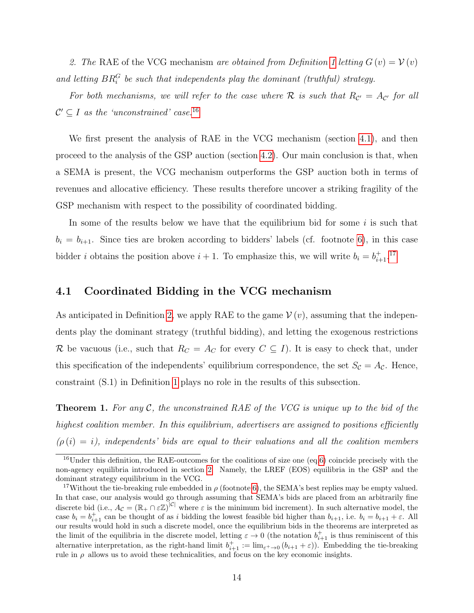2. The RAE of the VCG mechanism are obtained from Definition [1](#page-11-0) letting  $G(v) = V(v)$ and letting  $BR_i^G$  be such that independents play the dominant (truthful) strategy.

For both mechanisms, we will refer to the case where R is such that  $R_{\mathcal{C}'} = A_{\mathcal{C}'}$  for all  $\mathcal{C}' \subseteq I$  as the 'unconstrained' case.<sup>[16](#page-0-0)</sup>

We first present the analysis of RAE in the VCG mechanism (section [4.1\)](#page-14-1), and then proceed to the analysis of the GSP auction (section [4.2\)](#page-16-0). Our main conclusion is that, when a SEMA is present, the VCG mechanism outperforms the GSP auction both in terms of revenues and allocative efficiency. These results therefore uncover a striking fragility of the GSP mechanism with respect to the possibility of coordinated bidding.

In some of the results below we have that the equilibrium bid for some  $i$  is such that  $b_i = b_{i+1}$ . Since ties are broken according to bidders' labels (cf. footnote [6\)](#page-5-0), in this case bidder *i* obtains the position above  $i + 1$ . To emphasize this, we will write  $b_i = b_{i+1}^{\dagger}$ .<sup>[17](#page-0-0)</sup>

### <span id="page-14-1"></span>4.1 Coordinated Bidding in the VCG mechanism

As anticipated in Definition [2,](#page-13-0) we apply RAE to the game  $\mathcal{V}(v)$ , assuming that the independents play the dominant strategy (truthful bidding), and letting the exogenous restrictions R be vacuous (i.e., such that  $R_C = A_C$  for every  $C \subseteq I$ ). It is easy to check that, under this specification of the independents' equilibrium correspondence, the set  $S_c = A_c$ . Hence, constraint (S.1) in Definition [1](#page-11-0) plays no role in the results of this subsection.

<span id="page-14-0"></span>**Theorem 1.** For any  $\mathcal{C}$ , the unconstrained RAE of the VCG is unique up to the bid of the highest coalition member. In this equilibrium, advertisers are assigned to positions efficiently  $(\rho(i) = i)$ , independents' bids are equal to their valuations and all the coalition members

 $16$ Under this definition, the RAE-outcomes for the coalitions of size one (eq[.6\)](#page-10-1) coincide precisely with the non-agency equilibria introduced in section [2.](#page-5-0) Namely, the LREF (EOS) equilibria in the GSP and the dominant strategy equilibrium in the VCG.

<sup>&</sup>lt;sup>17</sup>Without the tie-breaking rule embedded in  $\rho$  (footnote [6\)](#page-5-0), the SEMA's best replies may be empty valued. In that case, our analysis would go through assuming that SEMA's bids are placed from an arbitrarily fine discrete bid (i.e.,  $A_{\mathcal{C}} = (\mathbb{R}_+ \cap \varepsilon \mathbb{Z})^{|C|}$  where  $\varepsilon$  is the minimum bid increment). In such alternative model, the case  $b_i = b_{i+1}^+$  can be thought of as i bidding the lowest feasible bid higher than  $b_{i+1}$ , i.e.  $b_i = b_{i+1} + \varepsilon$ . All our results would hold in such a discrete model, once the equilibrium bids in the theorems are interpreted as the limit of the equilibria in the discrete model, letting  $\varepsilon \to 0$  (the notation  $b_{i+1}^+$  is thus reminiscent of this alternative interpretation, as the right-hand limit  $b_{i+1}^+ := \lim_{\varepsilon \to 0} (b_{i+1} + \varepsilon)$ . Embedding the tie-breaking rule in  $\rho$  allows us to avoid these technicalities, and focus on the key economic insights.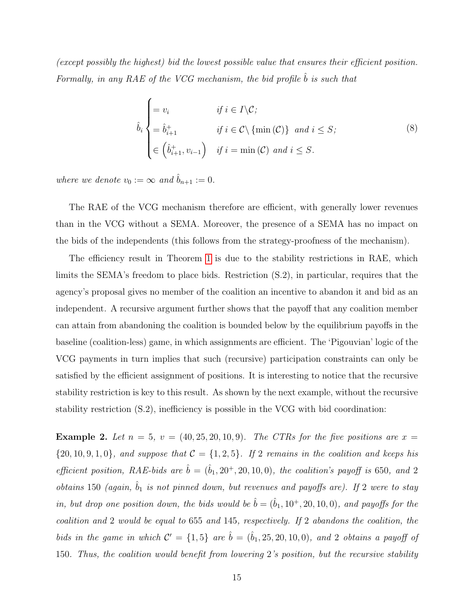(except possibly the highest) bid the lowest possible value that ensures their efficient position. Formally, in any RAE of the VCG mechanism, the bid profile  $b$  is such that

$$
\hat{b}_{i} \begin{cases}\n= v_{i} & \text{if } i \in I \setminus C; \\
= \hat{b}_{i+1}^+ & \text{if } i \in C \setminus \{\min(\mathcal{C})\} \text{ and } i \leq S; \\
\in \left(\hat{b}_{i+1}^+, v_{i-1}\right) & \text{if } i = \min(\mathcal{C}) \text{ and } i \leq S.\n\end{cases}
$$
\n(8)

where we denote  $v_0 := \infty$  and  $\hat{b}_{n+1} := 0$ .

The RAE of the VCG mechanism therefore are efficient, with generally lower revenues than in the VCG without a SEMA. Moreover, the presence of a SEMA has no impact on the bids of the independents (this follows from the strategy-proofness of the mechanism).

The efficiency result in Theorem [1](#page-14-0) is due to the stability restrictions in RAE, which limits the SEMA's freedom to place bids. Restriction (S.2), in particular, requires that the agency's proposal gives no member of the coalition an incentive to abandon it and bid as an independent. A recursive argument further shows that the payoff that any coalition member can attain from abandoning the coalition is bounded below by the equilibrium payoffs in the baseline (coalition-less) game, in which assignments are efficient. The 'Pigouvian' logic of the VCG payments in turn implies that such (recursive) participation constraints can only be satisfied by the efficient assignment of positions. It is interesting to notice that the recursive stability restriction is key to this result. As shown by the next example, without the recursive stability restriction (S.2), inefficiency is possible in the VCG with bid coordination:

<span id="page-15-0"></span>**Example 2.** Let  $n = 5$ ,  $v = (40, 25, 20, 10, 9)$ . The CTRs for the five positions are  $x =$  $\{20, 10, 9, 1, 0\}$ , and suppose that  $C = \{1, 2, 5\}$ . If 2 remains in the coalition and keeps his efficient position, RAE-bids are  $\hat{b} = (\hat{b}_1, 20^+, 20, 10, 0)$ , the coalition's payoff is 650, and 2 obtains 150 (again,  $\hat{b}_1$  is not pinned down, but revenues and payoffs are). If 2 were to stay in, but drop one position down, the bids would be  $\hat{b} = (\hat{b}_1, 10^+, 20, 10, 0)$ , and payoffs for the coalition and 2 would be equal to 655 and 145, respectively. If 2 abandons the coalition, the bids in the game in which  $\mathcal{C}' = \{1, 5\}$  are  $\hat{b} = (\hat{b}_1, 25, 20, 10, 0)$ , and 2 obtains a payoff of 150. Thus, the coalition would benefit from lowering 2's position, but the recursive stability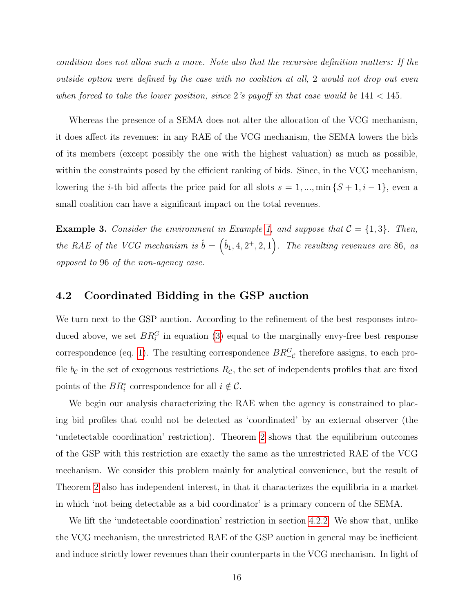condition does not allow such a move. Note also that the recursive definition matters: If the outside option were defined by the case with no coalition at all, 2 would not drop out even when forced to take the lower position, since 2's payoff in that case would be  $141 < 145$ .

Whereas the presence of a SEMA does not alter the allocation of the VCG mechanism, it does affect its revenues: in any RAE of the VCG mechanism, the SEMA lowers the bids of its members (except possibly the one with the highest valuation) as much as possible, within the constraints posed by the efficient ranking of bids. Since, in the VCG mechanism, lowering the *i*-th bid affects the price paid for all slots  $s = 1, ..., min\{S + 1, i - 1\}$ , even a small coalition can have a significant impact on the total revenues.

<span id="page-16-1"></span>**Example 3.** Consider the environment in Example [1,](#page-7-0) and suppose that  $C = \{1,3\}$ . Then, the RAE of the VCG mechanism is  $\hat{b} = (\hat{b}_1, 4, 2^+, 2, 1)$ . The resulting revenues are 86, as opposed to 96 of the non-agency case.

### <span id="page-16-0"></span>4.2 Coordinated Bidding in the GSP auction

We turn next to the GSP auction. According to the refinement of the best responses introduced above, we set  $BR_i^G$  in equation [\(3\)](#page-9-0) equal to the marginally envy-free best response correspondence (eq. [1\)](#page-6-1). The resulting correspondence  $BR_{\_C}^G$  therefore assigns, to each profile  $b_{\mathcal{C}}$  in the set of exogenous restrictions  $R_{\mathcal{C}}$ , the set of independents profiles that are fixed points of the  $BR_i^*$  correspondence for all  $i \notin \mathcal{C}$ .

We begin our analysis characterizing the RAE when the agency is constrained to placing bid profiles that could not be detected as 'coordinated' by an external observer (the 'undetectable coordination' restriction). Theorem [2](#page-17-1) shows that the equilibrium outcomes of the GSP with this restriction are exactly the same as the unrestricted RAE of the VCG mechanism. We consider this problem mainly for analytical convenience, but the result of Theorem [2](#page-17-1) also has independent interest, in that it characterizes the equilibria in a market in which 'not being detectable as a bid coordinator' is a primary concern of the SEMA.

We lift the 'undetectable coordination' restriction in section [4.2.2.](#page-20-1) We show that, unlike the VCG mechanism, the unrestricted RAE of the GSP auction in general may be inefficient and induce strictly lower revenues than their counterparts in the VCG mechanism. In light of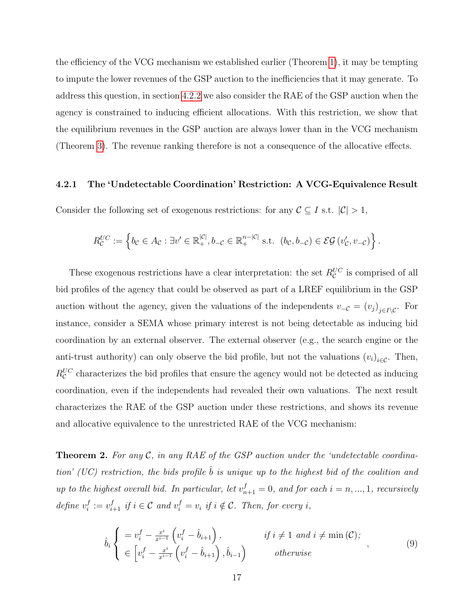the efficiency of the VCG mechanism we established earlier (Theorem [1\)](#page-14-0), it may be tempting to impute the lower revenues of the GSP auction to the inefficiencies that it may generate. To address this question, in section [4.2.2](#page-20-1) we also consider the RAE of the GSP auction when the agency is constrained to inducing efficient allocations. With this restriction, we show that the equilibrium revenues in the GSP auction are always lower than in the VCG mechanism (Theorem [3\)](#page-20-0). The revenue ranking therefore is not a consequence of the allocative effects.

#### <span id="page-17-0"></span>4.2.1 The 'Undetectable Coordination' Restriction: A VCG-Equivalence Result

Consider the following set of exogenous restrictions: for any  $\mathcal{C} \subseteq I$  s.t.  $|\mathcal{C}| > 1$ ,

$$
R_{\mathcal{C}}^{UC} := \left\{ b_{\mathcal{C}} \in A_{\mathcal{C}} : \exists v' \in \mathbb{R}_{+}^{|\mathcal{C}|}, b_{-\mathcal{C}} \in \mathbb{R}_{+}^{n-|\mathcal{C}|} \text{ s.t. } (b_{\mathcal{C}}, b_{-\mathcal{C}}) \in \mathcal{EG}(v'_{\mathcal{C}}, v_{-\mathcal{C}}) \right\}.
$$

These exogenous restrictions have a clear interpretation: the set  $R_{\mathcal{C}}^{UC}$  is comprised of all bid profiles of the agency that could be observed as part of a LREF equilibrium in the GSP auction without the agency, given the valuations of the independents  $v_{-\mathcal{C}} = (v_j)_{j \in I \setminus \mathcal{C}}$ . For instance, consider a SEMA whose primary interest is not being detectable as inducing bid coordination by an external observer. The external observer (e.g., the search engine or the anti-trust authority) can only observe the bid profile, but not the valuations  $(v_i)_{i \in \mathcal{C}}$ . Then,  $R_{\mathcal{C}}^{UC}$  characterizes the bid profiles that ensure the agency would not be detected as inducing coordination, even if the independents had revealed their own valuations. The next result characterizes the RAE of the GSP auction under these restrictions, and shows its revenue and allocative equivalence to the unrestricted RAE of the VCG mechanism:

<span id="page-17-1"></span>**Theorem 2.** For any  $\mathcal{C}$ , in any RAE of the GSP auction under the 'undetectable coordination' (UC) restriction, the bids profile  $\hat{b}$  is unique up to the highest bid of the coalition and up to the highest overall bid. In particular, let  $v_{n+1}^f = 0$ , and for each  $i = n, ..., 1$ , recursively define  $v_i^f$  $i_i^f := v_{i+1}^f$  if  $i \in \mathcal{C}$  and  $v_i^f = v_i$  if  $i \notin \mathcal{C}$ . Then, for every i,

<span id="page-17-2"></span>
$$
\hat{b}_{i} \begin{cases}\n= v_{i}^{f} - \frac{x^{i}}{x^{i-1}} \left( v_{i}^{f} - \hat{b}_{i+1} \right), & \text{if } i \neq 1 \text{ and } i \neq \min(\mathcal{C}); \\
\in \left[ v_{i}^{f} - \frac{x^{i}}{x^{i-1}} \left( v_{i}^{f} - \hat{b}_{i+1} \right), \hat{b}_{i-1} \right) & \text{otherwise}\n\end{cases}
$$
\n(9)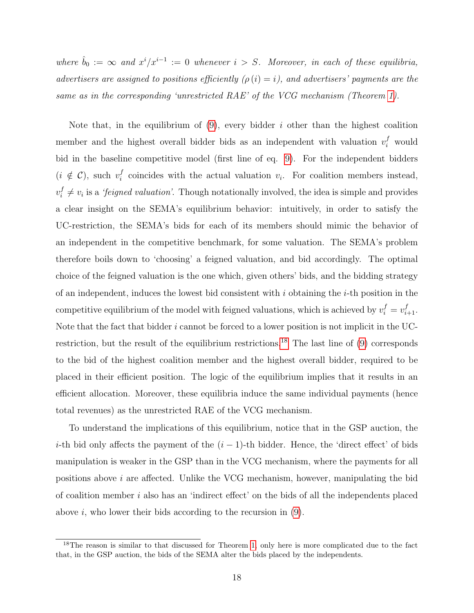where  $\hat{b}_0 := \infty$  and  $x^i/x^{i-1} := 0$  whenever  $i > S$ . Moreover, in each of these equilibria, advertisers are assigned to positions efficiently  $(\rho(i) = i)$ , and advertisers' payments are the same as in the corresponding 'unrestricted RAE' of the VCG mechanism (Theorem [1\)](#page-14-0).

Note that, in the equilibrium of  $(9)$ , every bidder i other than the highest coalition member and the highest overall bidder bids as an independent with valuation  $v_i^f$  would bid in the baseline competitive model (first line of eq. [9\)](#page-17-2). For the independent bidders  $(i \notin \mathcal{C})$ , such  $v_i^f$  $i<sub>i</sub>$  coincides with the actual valuation  $v<sub>i</sub>$ . For coalition members instead,  $v_i^f$  $i \neq v_i$  is a *'feigned valuation'*. Though notationally involved, the idea is simple and provides a clear insight on the SEMA's equilibrium behavior: intuitively, in order to satisfy the UC-restriction, the SEMA's bids for each of its members should mimic the behavior of an independent in the competitive benchmark, for some valuation. The SEMA's problem therefore boils down to 'choosing' a feigned valuation, and bid accordingly. The optimal choice of the feigned valuation is the one which, given others' bids, and the bidding strategy of an independent, induces the lowest bid consistent with  $i$  obtaining the  $i$ -th position in the competitive equilibrium of the model with feigned valuations, which is achieved by  $v_i^f = v_{i+1}^f$ . Note that the fact that bidder  $i$  cannot be forced to a lower position is not implicit in the UC-restriction, but the result of the equilibrium restrictions.<sup>[18](#page-0-0)</sup> The last line of  $(9)$  corresponds to the bid of the highest coalition member and the highest overall bidder, required to be placed in their efficient position. The logic of the equilibrium implies that it results in an efficient allocation. Moreover, these equilibria induce the same individual payments (hence total revenues) as the unrestricted RAE of the VCG mechanism.

To understand the implications of this equilibrium, notice that in the GSP auction, the i-th bid only affects the payment of the  $(i - 1)$ -th bidder. Hence, the 'direct effect' of bids manipulation is weaker in the GSP than in the VCG mechanism, where the payments for all positions above  $i$  are affected. Unlike the VCG mechanism, however, manipulating the bid of coalition member  $i$  also has an 'indirect effect' on the bids of all the independents placed above i, who lower their bids according to the recursion in  $(9)$ .

<sup>&</sup>lt;sup>18</sup>The reason is similar to that discussed for Theorem [1,](#page-14-0) only here is more complicated due to the fact that, in the GSP auction, the bids of the SEMA alter the bids placed by the independents.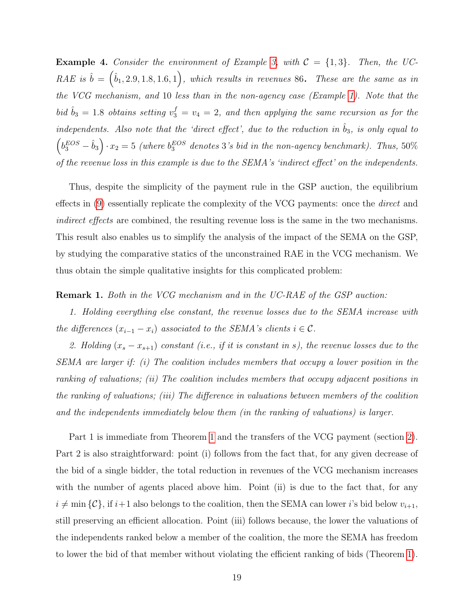<span id="page-19-0"></span>**Example 4.** Consider the environment of Example [3,](#page-16-1) with  $C = \{1,3\}$ . Then, the UC-RAE is  $\hat{b} = (\hat{b}_1, 2.9, 1.8, 1.6, 1)$ , which results in revenues 86. These are the same as in the VCG mechanism, and 10 less than in the non-agency case (Example [1\)](#page-7-0). Note that the bid  $\hat{b}_3 = 1.8$  obtains setting  $v_3^f = v_4 = 2$ , and then applying the same recursion as for the independents. Also note that the 'direct effect', due to the reduction in  $\hat{b}_3$ , is only equal to  $\left(b_3^{EOS} - \hat{b}_3\right) \cdot x_2 = 5$  (where  $b_3^{EOS}$  denotes 3's bid in the non-agency benchmark). Thus, 50% of the revenue loss in this example is due to the SEMA's 'indirect effect' on the independents.

Thus, despite the simplicity of the payment rule in the GSP auction, the equilibrium effects in [\(9\)](#page-17-2) essentially replicate the complexity of the VCG payments: once the *direct* and indirect effects are combined, the resulting revenue loss is the same in the two mechanisms. This result also enables us to simplify the analysis of the impact of the SEMA on the GSP, by studying the comparative statics of the unconstrained RAE in the VCG mechanism. We thus obtain the simple qualitative insights for this complicated problem:

### Remark 1. Both in the VCG mechanism and in the UC-RAE of the GSP auction:

1. Holding everything else constant, the revenue losses due to the SEMA increase with the differences  $(x_{i-1} - x_i)$  associated to the SEMA's clients  $i \in \mathcal{C}$ .

2. Holding  $(x_s - x_{s+1})$  constant (i.e., if it is constant in s), the revenue losses due to the SEMA are larger if: (i) The coalition includes members that occupy a lower position in the ranking of valuations; (ii) The coalition includes members that occupy adjacent positions in the ranking of valuations; (iii) The difference in valuations between members of the coalition and the independents immediately below them (in the ranking of valuations) is larger.

Part 1 is immediate from Theorem [1](#page-14-0) and the transfers of the VCG payment (section [2\)](#page-5-0). Part 2 is also straightforward: point (i) follows from the fact that, for any given decrease of the bid of a single bidder, the total reduction in revenues of the VCG mechanism increases with the number of agents placed above him. Point (ii) is due to the fact that, for any  $i \neq \min \{C\}$ , if  $i+1$  also belongs to the coalition, then the SEMA can lower i's bid below  $v_{i+1}$ , still preserving an efficient allocation. Point (iii) follows because, the lower the valuations of the independents ranked below a member of the coalition, the more the SEMA has freedom to lower the bid of that member without violating the efficient ranking of bids (Theorem [1\)](#page-14-0).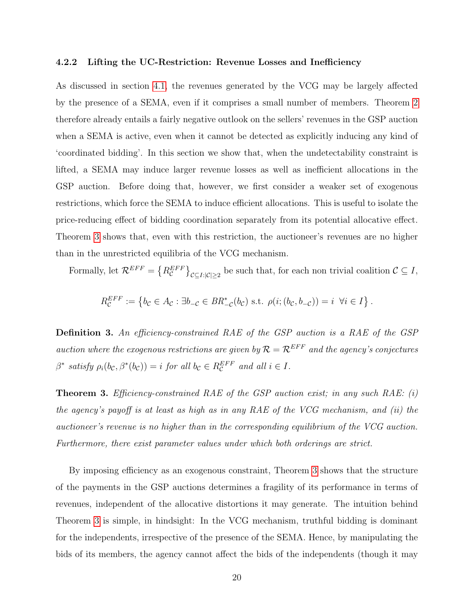#### <span id="page-20-1"></span>4.2.2 Lifting the UC-Restriction: Revenue Losses and Inefficiency

As discussed in section [4.1,](#page-14-1) the revenues generated by the VCG may be largely affected by the presence of a SEMA, even if it comprises a small number of members. Theorem [2](#page-17-1) therefore already entails a fairly negative outlook on the sellers' revenues in the GSP auction when a SEMA is active, even when it cannot be detected as explicitly inducing any kind of 'coordinated bidding'. In this section we show that, when the undetectability constraint is lifted, a SEMA may induce larger revenue losses as well as inefficient allocations in the GSP auction. Before doing that, however, we first consider a weaker set of exogenous restrictions, which force the SEMA to induce efficient allocations. This is useful to isolate the price-reducing effect of bidding coordination separately from its potential allocative effect. Theorem [3](#page-20-0) shows that, even with this restriction, the auctioneer's revenues are no higher than in the unrestricted equilibria of the VCG mechanism.

Formally, let  $\mathcal{R}^{EFF} = \left\{ R_{\mathcal{C}}^{EFF} \right\}_{\mathcal{C} \subseteq I: |\mathcal{C}| \geq 2}$  be such that, for each non trivial coalition  $\mathcal{C} \subseteq I$ ,

$$
R_{\mathcal{C}}^{EFF} := \left\{ b_{\mathcal{C}} \in A_{\mathcal{C}} : \exists b_{-\mathcal{C}} \in BR_{-\mathcal{C}}^*(b_{\mathcal{C}}) \text{ s.t. } \rho(i; (b_{\mathcal{C}}, b_{-\mathcal{C}})) = i \ \forall i \in I \right\}.
$$

Definition 3. An efficiency-constrained RAE of the GSP auction is a RAE of the GSP auction where the exogenous restrictions are given by  $\mathcal{R} = \mathcal{R}^{EFF}$  and the agency's conjectures  $\beta^*$  satisfy  $\rho_i(b_{\mathcal{C}}, \beta^*(b_{\mathcal{C}})) = i$  for all  $b_{\mathcal{C}} \in R_{\mathcal{C}}^{EFF}$  and all  $i \in I$ .

<span id="page-20-0"></span>**Theorem 3.** Efficiency-constrained RAE of the GSP auction exist; in any such RAE:  $(i)$ the agency's payoff is at least as high as in any RAE of the VCG mechanism, and (ii) the auctioneer's revenue is no higher than in the corresponding equilibrium of the VCG auction. Furthermore, there exist parameter values under which both orderings are strict.

By imposing efficiency as an exogenous constraint, Theorem [3](#page-20-0) shows that the structure of the payments in the GSP auctions determines a fragility of its performance in terms of revenues, independent of the allocative distortions it may generate. The intuition behind Theorem [3](#page-20-0) is simple, in hindsight: In the VCG mechanism, truthful bidding is dominant for the independents, irrespective of the presence of the SEMA. Hence, by manipulating the bids of its members, the agency cannot affect the bids of the independents (though it may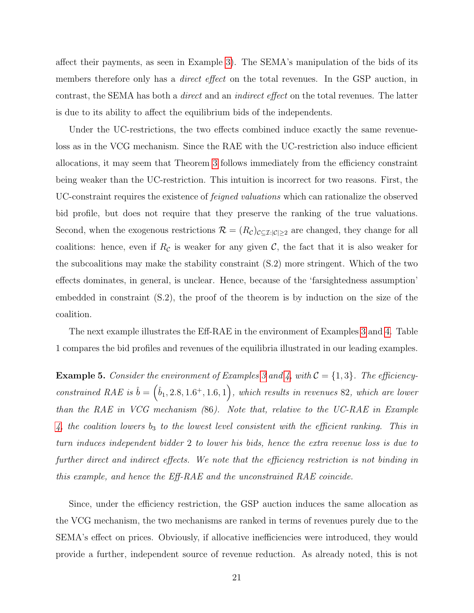affect their payments, as seen in Example [3\)](#page-16-1). The SEMA's manipulation of the bids of its members therefore only has a *direct effect* on the total revenues. In the GSP auction, in contrast, the SEMA has both a direct and an indirect effect on the total revenues. The latter is due to its ability to affect the equilibrium bids of the independents.

Under the UC-restrictions, the two effects combined induce exactly the same revenueloss as in the VCG mechanism. Since the RAE with the UC-restriction also induce efficient allocations, it may seem that Theorem [3](#page-20-0) follows immediately from the efficiency constraint being weaker than the UC-restriction. This intuition is incorrect for two reasons. First, the UC-constraint requires the existence of feigned valuations which can rationalize the observed bid profile, but does not require that they preserve the ranking of the true valuations. Second, when the exogenous restrictions  $\mathcal{R} = (R_{\mathcal{C}})_{\mathcal{C} \subseteq \mathcal{I}: |\mathcal{C}| \geq 2}$  are changed, they change for all coalitions: hence, even if  $R_c$  is weaker for any given  $\mathcal{C}$ , the fact that it is also weaker for the subcoalitions may make the stability constraint (S.2) more stringent. Which of the two effects dominates, in general, is unclear. Hence, because of the 'farsightedness assumption' embedded in constraint (S.2), the proof of the theorem is by induction on the size of the coalition.

The next example illustrates the Eff-RAE in the environment of Examples [3](#page-16-1) and [4.](#page-19-0) Table 1 compares the bid profiles and revenues of the equilibria illustrated in our leading examples.

<span id="page-21-0"></span>**Example 5.** Consider the environment of Examples [3](#page-16-1) and [4,](#page-19-0) with  $C = \{1, 3\}$ . The efficiencyconstrained RAE is  $\hat{b} = (\hat{b}_1, 2.8, 1.6^+, 1.6, 1)$ , which results in revenues 82, which are lower than the RAE in VCG mechanism (86). Note that, relative to the UC-RAE in Example [4,](#page-19-0) the coalition lowers  $b_3$  to the lowest level consistent with the efficient ranking. This in turn induces independent bidder 2 to lower his bids, hence the extra revenue loss is due to further direct and indirect effects. We note that the efficiency restriction is not binding in this example, and hence the Eff-RAE and the unconstrained RAE coincide.

Since, under the efficiency restriction, the GSP auction induces the same allocation as the VCG mechanism, the two mechanisms are ranked in terms of revenues purely due to the SEMA's effect on prices. Obviously, if allocative inefficiencies were introduced, they would provide a further, independent source of revenue reduction. As already noted, this is not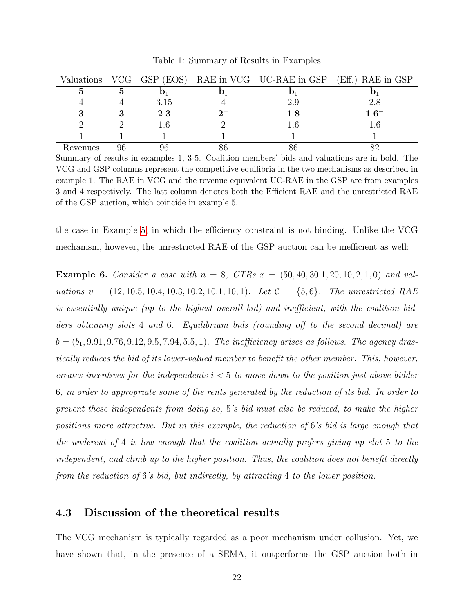| Valuations |          | GSP<br>(EOS) |       | RAE in VCG   UC-RAE in GSP | $Eff.$ )<br>RAE in GSP |
|------------|----------|--------------|-------|----------------------------|------------------------|
|            | <b>D</b> |              |       |                            |                        |
|            |          | 3.15         |       | 2.9                        | 2.8                    |
| o          |          | 2.3          | $2^+$ | $1.8\,$                    | $1.6^+$                |
|            |          | $1.6\,$      |       | $1.6\,$                    | $1.6\,$                |
|            |          |              |       |                            |                        |
| Revenues   | 96       | 96           | 86    |                            |                        |

Table 1: Summary of Results in Examples

Summary of results in examples 1, 3-5. Coalition members' bids and valuations are in bold. The VCG and GSP columns represent the competitive equilibria in the two mechanisms as described in example 1. The RAE in VCG and the revenue equivalent UC-RAE in the GSP are from examples 3 and 4 respectively. The last column denotes both the Efficient RAE and the unrestricted RAE of the GSP auction, which coincide in example 5.

the case in Example [5,](#page-21-0) in which the efficiency constraint is not binding. Unlike the VCG mechanism, however, the unrestricted RAE of the GSP auction can be inefficient as well:

**Example 6.** Consider a case with  $n = 8$ , CTRs  $x = (50, 40, 30.1, 20, 10, 2, 1, 0)$  and valuations  $v = (12, 10.5, 10.4, 10.3, 10.2, 10.1, 10, 1)$ . Let  $C = \{5, 6\}$ . The unrestricted RAE is essentially unique (up to the highest overall bid) and inefficient, with the coalition bidders obtaining slots 4 and 6. Equilibrium bids (rounding off to the second decimal) are  $b = (b_1, 9.91, 9.76, 9.12, 9.5, 7.94, 5.5, 1)$ . The inefficiency arises as follows. The agency drastically reduces the bid of its lower-valued member to benefit the other member. This, however, creates incentives for the independents  $i < 5$  to move down to the position just above bidder 6, in order to appropriate some of the rents generated by the reduction of its bid. In order to prevent these independents from doing so, 5's bid must also be reduced, to make the higher positions more attractive. But in this example, the reduction of 6's bid is large enough that the undercut of 4 is low enough that the coalition actually prefers giving up slot 5 to the independent, and climb up to the higher position. Thus, the coalition does not benefit directly from the reduction of 6's bid, but indirectly, by attracting 4 to the lower position.

### 4.3 Discussion of the theoretical results

The VCG mechanism is typically regarded as a poor mechanism under collusion. Yet, we have shown that, in the presence of a SEMA, it outperforms the GSP auction both in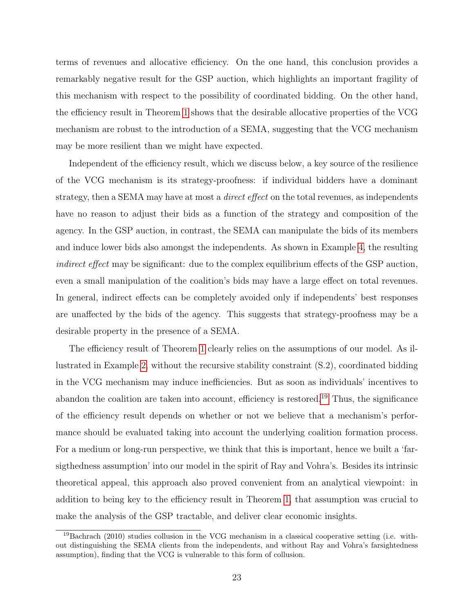terms of revenues and allocative efficiency. On the one hand, this conclusion provides a remarkably negative result for the GSP auction, which highlights an important fragility of this mechanism with respect to the possibility of coordinated bidding. On the other hand, the efficiency result in Theorem [1](#page-14-0) shows that the desirable allocative properties of the VCG mechanism are robust to the introduction of a SEMA, suggesting that the VCG mechanism may be more resilient than we might have expected.

Independent of the efficiency result, which we discuss below, a key source of the resilience of the VCG mechanism is its strategy-proofness: if individual bidders have a dominant strategy, then a SEMA may have at most a *direct effect* on the total revenues, as independents have no reason to adjust their bids as a function of the strategy and composition of the agency. In the GSP auction, in contrast, the SEMA can manipulate the bids of its members and induce lower bids also amongst the independents. As shown in Example [4,](#page-19-0) the resulting indirect effect may be significant: due to the complex equilibrium effects of the GSP auction, even a small manipulation of the coalition's bids may have a large effect on total revenues. In general, indirect effects can be completely avoided only if independents' best responses are unaffected by the bids of the agency. This suggests that strategy-proofness may be a desirable property in the presence of a SEMA.

The efficiency result of Theorem [1](#page-14-0) clearly relies on the assumptions of our model. As illustrated in Example [2,](#page-15-0) without the recursive stability constraint (S.2), coordinated bidding in the VCG mechanism may induce inefficiencies. But as soon as individuals' incentives to abandon the coalition are taken into account, efficiency is restored.<sup>[19](#page-0-0)</sup> Thus, the significance of the efficiency result depends on whether or not we believe that a mechanism's performance should be evaluated taking into account the underlying coalition formation process. For a medium or long-run perspective, we think that this is important, hence we built a 'farsigthedness assumption' into our model in the spirit of Ray and Vohra's. Besides its intrinsic theoretical appeal, this approach also proved convenient from an analytical viewpoint: in addition to being key to the efficiency result in Theorem [1,](#page-14-0) that assumption was crucial to make the analysis of the GSP tractable, and deliver clear economic insights.

<sup>19</sup>Bachrach (2010) studies collusion in the VCG mechanism in a classical cooperative setting (i.e. without distinguishing the SEMA clients from the independents, and without Ray and Vohra's farsightedness assumption), finding that the VCG is vulnerable to this form of collusion.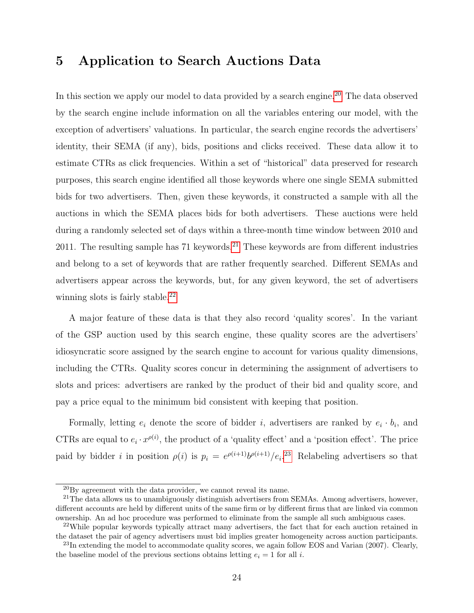### 5 Application to Search Auctions Data

In this section we apply our model to data provided by a search engine.<sup>[20](#page-0-0)</sup> The data observed by the search engine include information on all the variables entering our model, with the exception of advertisers' valuations. In particular, the search engine records the advertisers' identity, their SEMA (if any), bids, positions and clicks received. These data allow it to estimate CTRs as click frequencies. Within a set of "historical" data preserved for research purposes, this search engine identified all those keywords where one single SEMA submitted bids for two advertisers. Then, given these keywords, it constructed a sample with all the auctions in which the SEMA places bids for both advertisers. These auctions were held during a randomly selected set of days within a three-month time window between 2010 and 2011. The resulting sample has  $71$  keywords.<sup>[21](#page-0-0)</sup> These keywords are from different industries and belong to a set of keywords that are rather frequently searched. Different SEMAs and advertisers appear across the keywords, but, for any given keyword, the set of advertisers winning slots is fairly stable.<sup>[22](#page-0-0)</sup>

A major feature of these data is that they also record 'quality scores'. In the variant of the GSP auction used by this search engine, these quality scores are the advertisers' idiosyncratic score assigned by the search engine to account for various quality dimensions, including the CTRs. Quality scores concur in determining the assignment of advertisers to slots and prices: advertisers are ranked by the product of their bid and quality score, and pay a price equal to the minimum bid consistent with keeping that position.

Formally, letting  $e_i$  denote the score of bidder i, advertisers are ranked by  $e_i \cdot b_i$ , and CTRs are equal to  $e_i \cdot x^{\rho(i)}$ , the product of a 'quality effect' and a 'position effect'. The price paid by bidder *i* in position  $\rho(i)$  is  $p_i = e^{\rho(i+1)}b^{\rho(i+1)}/e_i$ <sup>[23](#page-0-0)</sup> Relabeling advertisers so that

 $^{20}$ By agreement with the data provider, we cannot reveal its name.

 $^{21}$ The data allows us to unambiguously distinguish advertisers from SEMAs. Among advertisers, however, different accounts are held by different units of the same firm or by different firms that are linked via common ownership. An ad hoc procedure was performed to eliminate from the sample all such ambiguous cases.

 $22$ While popular keywords typically attract many advertisers, the fact that for each auction retained in the dataset the pair of agency advertisers must bid implies greater homogeneity across auction participants.

 $^{23}$ In extending the model to accommodate quality scores, we again follow EOS and Varian (2007). Clearly, the baseline model of the previous sections obtains letting  $e_i = 1$  for all i.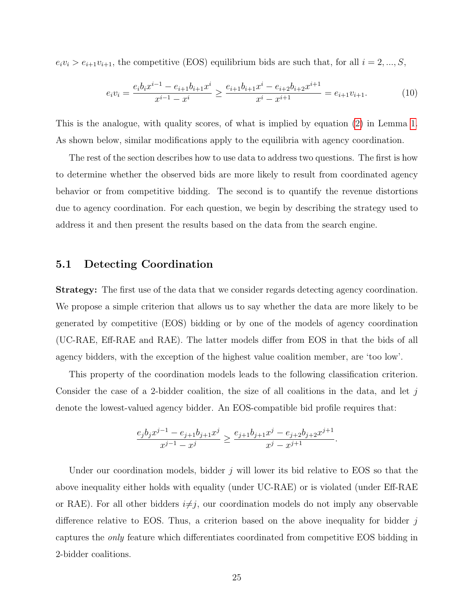$e_i v_i > e_{i+1} v_{i+1}$ , the competitive (EOS) equilibrium bids are such that, for all  $i = 2, ..., S$ ,

$$
e_i v_i = \frac{e_i b_i x^{i-1} - e_{i+1} b_{i+1} x^i}{x^{i-1} - x^i} \ge \frac{e_{i+1} b_{i+1} x^i - e_{i+2} b_{i+2} x^{i+1}}{x^i - x^{i+1}} = e_{i+1} v_{i+1}.
$$
 (10)

This is the analogue, with quality scores, of what is implied by equation [\(2\)](#page-6-2) in Lemma [1.](#page-6-0) As shown below, similar modifications apply to the equilibria with agency coordination.

The rest of the section describes how to use data to address two questions. The first is how to determine whether the observed bids are more likely to result from coordinated agency behavior or from competitive bidding. The second is to quantify the revenue distortions due to agency coordination. For each question, we begin by describing the strategy used to address it and then present the results based on the data from the search engine.

### 5.1 Detecting Coordination

Strategy: The first use of the data that we consider regards detecting agency coordination. We propose a simple criterion that allows us to say whether the data are more likely to be generated by competitive (EOS) bidding or by one of the models of agency coordination (UC-RAE, Eff-RAE and RAE). The latter models differ from EOS in that the bids of all agency bidders, with the exception of the highest value coalition member, are 'too low'.

This property of the coordination models leads to the following classification criterion. Consider the case of a 2-bidder coalition, the size of all coalitions in the data, and let  $j$ denote the lowest-valued agency bidder. An EOS-compatible bid profile requires that:

$$
\frac{e_jb_jx^{j-1}-e_{j+1}b_{j+1}x^j}{x^{j-1}-x^j}\geq \frac{e_{j+1}b_{j+1}x^j-e_{j+2}b_{j+2}x^{j+1}}{x^j-x^{j+1}}.
$$

Under our coordination models, bidder j will lower its bid relative to EOS so that the above inequality either holds with equality (under UC-RAE) or is violated (under Eff-RAE or RAE). For all other bidders  $i\neq j$ , our coordination models do not imply any observable difference relative to EOS. Thus, a criterion based on the above inequality for bidder  $j$ captures the only feature which differentiates coordinated from competitive EOS bidding in 2-bidder coalitions.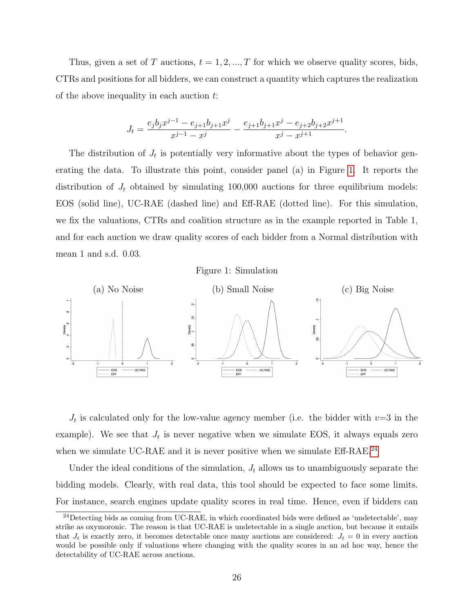Thus, given a set of T auctions,  $t = 1, 2, ..., T$  for which we observe quality scores, bids, CTRs and positions for all bidders, we can construct a quantity which captures the realization of the above inequality in each auction  $t$ :

$$
J_t = \frac{e_j b_j x^{j-1} - e_{j+1} b_{j+1} x^j}{x^{j-1} - x^j} - \frac{e_{j+1} b_{j+1} x^j - e_{j+2} b_{j+2} x^{j+1}}{x^j - x^{j+1}}.
$$

The distribution of  $J_t$  is potentially very informative about the types of behavior generating the data. To illustrate this point, consider panel (a) in Figure [1.](#page-26-0) It reports the distribution of  $J_t$  obtained by simulating 100,000 auctions for three equilibrium models: EOS (solid line), UC-RAE (dashed line) and Eff-RAE (dotted line). For this simulation, we fix the valuations, CTRs and coalition structure as in the example reported in Table 1, and for each auction we draw quality scores of each bidder from a Normal distribution with mean 1 and s.d. 0.03.



<span id="page-26-0"></span>

 $J_t$  is calculated only for the low-value agency member (i.e. the bidder with  $v=3$  in the example). We see that  $J_t$  is never negative when we simulate EOS, it always equals zero when we simulate UC-RAE and it is never positive when we simulate Eff-RAE.<sup>[24](#page-0-0)</sup>

Under the ideal conditions of the simulation,  $J_t$  allows us to unambiguously separate the bidding models. Clearly, with real data, this tool should be expected to face some limits. For instance, search engines update quality scores in real time. Hence, even if bidders can

<sup>24</sup>Detecting bids as coming from UC-RAE, in which coordinated bids were defined as 'undetectable', may strike as oxymoronic. The reason is that UC-RAE is undetectable in a single auction, but because it entails that  $J_t$  is exactly zero, it becomes detectable once many auctions are considered:  $J_t = 0$  in every auction would be possible only if valuations where changing with the quality scores in an ad hoc way, hence the detectability of UC-RAE across auctions.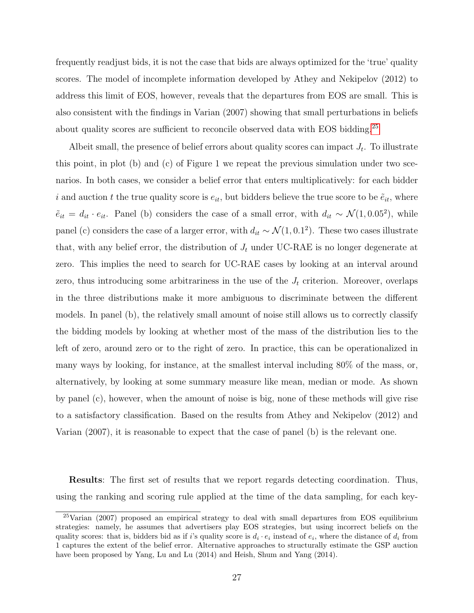frequently readjust bids, it is not the case that bids are always optimized for the 'true' quality scores. The model of incomplete information developed by Athey and Nekipelov (2012) to address this limit of EOS, however, reveals that the departures from EOS are small. This is also consistent with the findings in Varian (2007) showing that small perturbations in beliefs about quality scores are sufficient to reconcile observed data with EOS bidding.<sup>[25](#page-0-0)</sup>

Albeit small, the presence of belief errors about quality scores can impact  $J_t$ . To illustrate this point, in plot (b) and (c) of Figure 1 we repeat the previous simulation under two scenarios. In both cases, we consider a belief error that enters multiplicatively: for each bidder i and auction t the true quality score is  $e_{it}$ , but bidders believe the true score to be  $\tilde{e}_{it}$ , where  $\tilde{e}_{it} = d_{it} \cdot e_{it}$ . Panel (b) considers the case of a small error, with  $d_{it} \sim \mathcal{N}(1, 0.05^2)$ , while panel (c) considers the case of a larger error, with  $d_{it} \sim \mathcal{N}(1, 0.1^2)$ . These two cases illustrate that, with any belief error, the distribution of  $J_t$  under UC-RAE is no longer degenerate at zero. This implies the need to search for UC-RAE cases by looking at an interval around zero, thus introducing some arbitrariness in the use of the  $J_t$  criterion. Moreover, overlaps in the three distributions make it more ambiguous to discriminate between the different models. In panel (b), the relatively small amount of noise still allows us to correctly classify the bidding models by looking at whether most of the mass of the distribution lies to the left of zero, around zero or to the right of zero. In practice, this can be operationalized in many ways by looking, for instance, at the smallest interval including 80% of the mass, or, alternatively, by looking at some summary measure like mean, median or mode. As shown by panel (c), however, when the amount of noise is big, none of these methods will give rise to a satisfactory classification. Based on the results from Athey and Nekipelov (2012) and Varian (2007), it is reasonable to expect that the case of panel (b) is the relevant one.

Results: The first set of results that we report regards detecting coordination. Thus, using the ranking and scoring rule applied at the time of the data sampling, for each key-

<sup>25</sup>Varian (2007) proposed an empirical strategy to deal with small departures from EOS equilibrium strategies: namely, he assumes that advertisers play EOS strategies, but using incorrect beliefs on the quality scores: that is, bidders bid as if i's quality score is  $d_i \cdot e_i$  instead of  $e_i$ , where the distance of  $d_i$  from 1 captures the extent of the belief error. Alternative approaches to structurally estimate the GSP auction have been proposed by Yang, Lu and Lu (2014) and Heish, Shum and Yang (2014).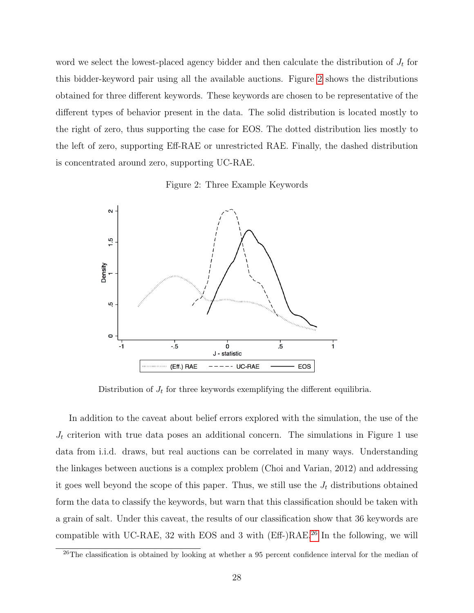word we select the lowest-placed agency bidder and then calculate the distribution of  $J_t$  for this bidder-keyword pair using all the available auctions. Figure [2](#page-28-0) shows the distributions obtained for three different keywords. These keywords are chosen to be representative of the different types of behavior present in the data. The solid distribution is located mostly to the right of zero, thus supporting the case for EOS. The dotted distribution lies mostly to the left of zero, supporting Eff-RAE or unrestricted RAE. Finally, the dashed distribution is concentrated around zero, supporting UC-RAE.

Figure 2: Three Example Keywords

<span id="page-28-0"></span>

Distribution of  $J_t$  for three keywords exemplifying the different equilibria.

In addition to the caveat about belief errors explored with the simulation, the use of the  $J_t$  criterion with true data poses an additional concern. The simulations in Figure 1 use data from i.i.d. draws, but real auctions can be correlated in many ways. Understanding the linkages between auctions is a complex problem (Choi and Varian, 2012) and addressing it goes well beyond the scope of this paper. Thus, we still use the  $J_t$  distributions obtained form the data to classify the keywords, but warn that this classification should be taken with a grain of salt. Under this caveat, the results of our classification show that 36 keywords are compatible with UC-RAE, 32 with EOS and 3 with (Eff-)RAE.[26](#page-0-0) In the following, we will

 $^{26}$ The classification is obtained by looking at whether a 95 percent confidence interval for the median of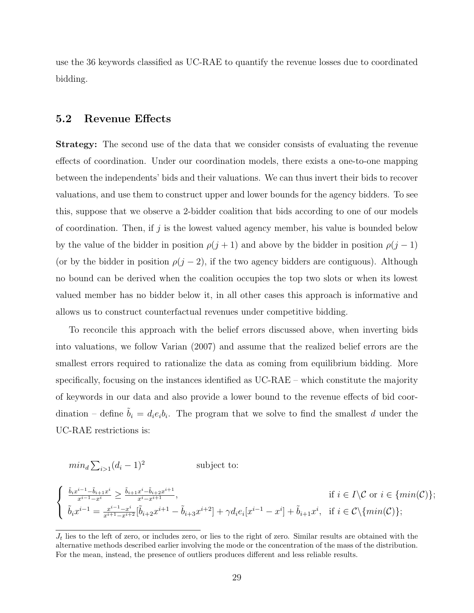use the 36 keywords classified as UC-RAE to quantify the revenue losses due to coordinated bidding.

### 5.2 Revenue Effects

Strategy: The second use of the data that we consider consists of evaluating the revenue effects of coordination. Under our coordination models, there exists a one-to-one mapping between the independents' bids and their valuations. We can thus invert their bids to recover valuations, and use them to construct upper and lower bounds for the agency bidders. To see this, suppose that we observe a 2-bidder coalition that bids according to one of our models of coordination. Then, if  $j$  is the lowest valued agency member, his value is bounded below by the value of the bidder in position  $\rho(j + 1)$  and above by the bidder in position  $\rho(j - 1)$ (or by the bidder in position  $\rho(j-2)$ , if the two agency bidders are contiguous). Although no bound can be derived when the coalition occupies the top two slots or when its lowest valued member has no bidder below it, in all other cases this approach is informative and allows us to construct counterfactual revenues under competitive bidding.

To reconcile this approach with the belief errors discussed above, when inverting bids into valuations, we follow Varian (2007) and assume that the realized belief errors are the smallest errors required to rationalize the data as coming from equilibrium bidding. More specifically, focusing on the instances identified as UC-RAE – which constitute the majority of keywords in our data and also provide a lower bound to the revenue effects of bid coordination – define  $\tilde{b}_i = d_i e_i b_i$ . The program that we solve to find the smallest d under the UC-RAE restrictions is:

$$
min_d \sum_{i>1} (d_i - 1)^2
$$
 subject to:

$$
\begin{cases} \frac{\tilde{b}_{i}x^{i-1}-\tilde{b}_{i+1}x^{i}}{x^{i-1}-x^{i}} \ge \frac{\tilde{b}_{i+1}x^{i}-\tilde{b}_{i+2}x^{i+1}}{x^{i}-x^{i+1}}, & \text{if } i \in I \backslash \mathcal{C} \text{ or } i \in \{min(\mathcal{C})\};\\ \tilde{b}_{i}x^{i-1} = \frac{x^{i-1}-x^{i}}{x^{i+1}-x^{i+2}}[\tilde{b}_{i+2}x^{i+1}-\tilde{b}_{i+3}x^{i+2}] + \gamma d_{i}e_{i}[x^{i-1}-x^{i}] + \tilde{b}_{i+1}x^{i}, & \text{if } i \in \mathcal{C} \backslash \{min(\mathcal{C})\}; \end{cases}
$$

 $J_t$  lies to the left of zero, or includes zero, or lies to the right of zero. Similar results are obtained with the alternative methods described earlier involving the mode or the concentration of the mass of the distribution. For the mean, instead, the presence of outliers produces different and less reliable results.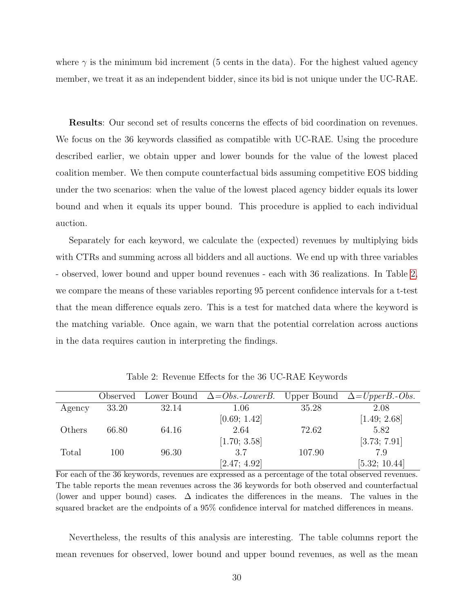where  $\gamma$  is the minimum bid increment (5 cents in the data). For the highest valued agency member, we treat it as an independent bidder, since its bid is not unique under the UC-RAE.

Results: Our second set of results concerns the effects of bid coordination on revenues. We focus on the 36 keywords classified as compatible with UC-RAE. Using the procedure described earlier, we obtain upper and lower bounds for the value of the lowest placed coalition member. We then compute counterfactual bids assuming competitive EOS bidding under the two scenarios: when the value of the lowest placed agency bidder equals its lower bound and when it equals its upper bound. This procedure is applied to each individual auction.

Separately for each keyword, we calculate the (expected) revenues by multiplying bids with CTRs and summing across all bidders and all auctions. We end up with three variables - observed, lower bound and upper bound revenues - each with 36 realizations. In Table [2,](#page-30-0) we compare the means of these variables reporting 95 percent confidence intervals for a t-test that the mean difference equals zero. This is a test for matched data where the keyword is the matching variable. Once again, we warn that the potential correlation across auctions in the data requires caution in interpreting the findings.

<span id="page-30-0"></span>

|        | Observed |       | Lower Bound $\Delta = Obs.-LowerB$ . Upper Bound $\Delta = UpperB.-Obs$ . |        |               |
|--------|----------|-------|---------------------------------------------------------------------------|--------|---------------|
| Agency | 33.20    | 32.14 | 1.06                                                                      | 35.28  | 2.08          |
|        |          |       | [0.69; 1.42]                                                              |        | [1.49; 2.68]  |
| Others | 66.80    | 64.16 | 2.64                                                                      | 72.62  | 5.82          |
|        |          |       | [1.70; 3.58]                                                              |        | [3.73; 7.91]  |
| Total  | 100      | 96.30 | 3.7                                                                       | 107.90 | 7.9           |
|        |          |       | [2.47; 4.92]                                                              |        | [5.32; 10.44] |

Table 2: Revenue Effects for the 36 UC-RAE Keywords

For each of the 36 keywords, revenues are expressed as a percentage of the total observed revenues. The table reports the mean revenues across the 36 keywords for both observed and counterfactual (lower and upper bound) cases.  $\Delta$  indicates the differences in the means. The values in the squared bracket are the endpoints of a 95% confidence interval for matched differences in means.

Nevertheless, the results of this analysis are interesting. The table columns report the mean revenues for observed, lower bound and upper bound revenues, as well as the mean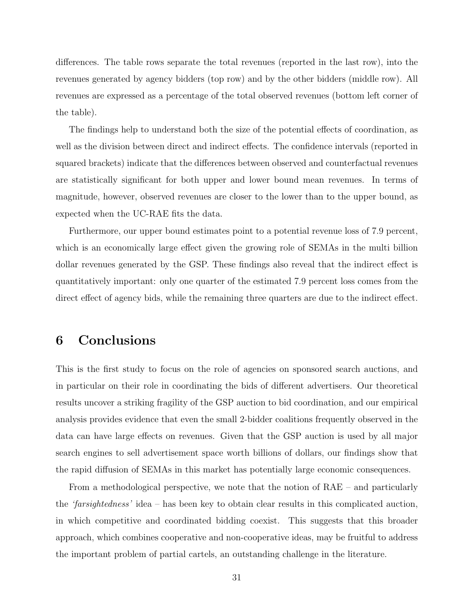differences. The table rows separate the total revenues (reported in the last row), into the revenues generated by agency bidders (top row) and by the other bidders (middle row). All revenues are expressed as a percentage of the total observed revenues (bottom left corner of the table).

The findings help to understand both the size of the potential effects of coordination, as well as the division between direct and indirect effects. The confidence intervals (reported in squared brackets) indicate that the differences between observed and counterfactual revenues are statistically significant for both upper and lower bound mean revenues. In terms of magnitude, however, observed revenues are closer to the lower than to the upper bound, as expected when the UC-RAE fits the data.

Furthermore, our upper bound estimates point to a potential revenue loss of 7.9 percent, which is an economically large effect given the growing role of SEMAs in the multi billion dollar revenues generated by the GSP. These findings also reveal that the indirect effect is quantitatively important: only one quarter of the estimated 7.9 percent loss comes from the direct effect of agency bids, while the remaining three quarters are due to the indirect effect.

### 6 Conclusions

This is the first study to focus on the role of agencies on sponsored search auctions, and in particular on their role in coordinating the bids of different advertisers. Our theoretical results uncover a striking fragility of the GSP auction to bid coordination, and our empirical analysis provides evidence that even the small 2-bidder coalitions frequently observed in the data can have large effects on revenues. Given that the GSP auction is used by all major search engines to sell advertisement space worth billions of dollars, our findings show that the rapid diffusion of SEMAs in this market has potentially large economic consequences.

From a methodological perspective, we note that the notion of RAE – and particularly the 'farsightedness' idea – has been key to obtain clear results in this complicated auction, in which competitive and coordinated bidding coexist. This suggests that this broader approach, which combines cooperative and non-cooperative ideas, may be fruitful to address the important problem of partial cartels, an outstanding challenge in the literature.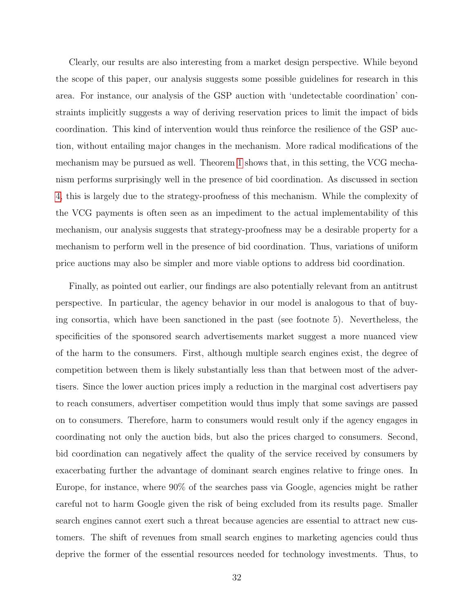Clearly, our results are also interesting from a market design perspective. While beyond the scope of this paper, our analysis suggests some possible guidelines for research in this area. For instance, our analysis of the GSP auction with 'undetectable coordination' constraints implicitly suggests a way of deriving reservation prices to limit the impact of bids coordination. This kind of intervention would thus reinforce the resilience of the GSP auction, without entailing major changes in the mechanism. More radical modifications of the mechanism may be pursued as well. Theorem [1](#page-14-0) shows that, in this setting, the VCG mechanism performs surprisingly well in the presence of bid coordination. As discussed in section [4,](#page-13-1) this is largely due to the strategy-proofness of this mechanism. While the complexity of the VCG payments is often seen as an impediment to the actual implementability of this mechanism, our analysis suggests that strategy-proofness may be a desirable property for a mechanism to perform well in the presence of bid coordination. Thus, variations of uniform price auctions may also be simpler and more viable options to address bid coordination.

Finally, as pointed out earlier, our findings are also potentially relevant from an antitrust perspective. In particular, the agency behavior in our model is analogous to that of buying consortia, which have been sanctioned in the past (see footnote 5). Nevertheless, the specificities of the sponsored search advertisements market suggest a more nuanced view of the harm to the consumers. First, although multiple search engines exist, the degree of competition between them is likely substantially less than that between most of the advertisers. Since the lower auction prices imply a reduction in the marginal cost advertisers pay to reach consumers, advertiser competition would thus imply that some savings are passed on to consumers. Therefore, harm to consumers would result only if the agency engages in coordinating not only the auction bids, but also the prices charged to consumers. Second, bid coordination can negatively affect the quality of the service received by consumers by exacerbating further the advantage of dominant search engines relative to fringe ones. In Europe, for instance, where 90% of the searches pass via Google, agencies might be rather careful not to harm Google given the risk of being excluded from its results page. Smaller search engines cannot exert such a threat because agencies are essential to attract new customers. The shift of revenues from small search engines to marketing agencies could thus deprive the former of the essential resources needed for technology investments. Thus, to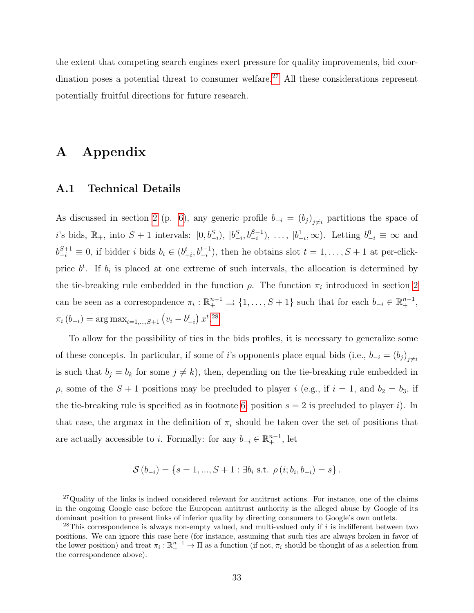the extent that competing search engines exert pressure for quality improvements, bid coor-dination poses a potential threat to consumer welfare.<sup>[27](#page-0-0)</sup> All these considerations represent potentially fruitful directions for future research.

### A Appendix

### <span id="page-33-0"></span>A.1 Technical Details

As discussed in section [2](#page-5-0) (p. [6\)](#page-5-0), any generic profile  $b_{-i} = (b_j)_{j \neq i}$  partitions the space of i's bids,  $\mathbb{R}_+$ , into  $S+1$  intervals:  $[0,b_{-i}^S)$ ,  $[b_{-i}^S, b_{-i}^{S-1})$ , ...,  $[b_{-i}^1, \infty)$ . Letting  $b_{-i}^0 \equiv \infty$  and  $b_{-i}^{S+1} \equiv 0$ , if bidder i bids  $b_i \in (b_{-i}^t, b_{-i}^{t-1})$ , then he obtains slot  $t = 1, \ldots, S+1$  at per-clickprice  $b^t$ . If  $b_i$  is placed at one extreme of such intervals, the allocation is determined by the tie-breaking rule embedded in the function  $\rho$ . The function  $\pi_i$  introduced in section [2](#page-5-0) can be seen as a corresopndence  $\pi_i : \mathbb{R}^{n-1}_+ \rightrightarrows \{1, \ldots, S+1\}$  such that for each  $b_{-i} \in \mathbb{R}^{n-1}_+$ ,  $\pi_i(b_{-i}) = \arg \max_{t=1,\dots,S+1} (v_i - b_{-i}^t) x^{t.28}$  $\pi_i(b_{-i}) = \arg \max_{t=1,\dots,S+1} (v_i - b_{-i}^t) x^{t.28}$  $\pi_i(b_{-i}) = \arg \max_{t=1,\dots,S+1} (v_i - b_{-i}^t) x^{t.28}$ 

To allow for the possibility of ties in the bids profiles, it is necessary to generalize some of these concepts. In particular, if some of i's opponents place equal bids (i.e.,  $b_{-i} = (b_j)_{j \neq i}$ is such that  $b_j = b_k$  for some  $j \neq k$ , then, depending on the tie-breaking rule embedded in  $\rho$ , some of the  $S + 1$  positions may be precluded to player i (e.g., if  $i = 1$ , and  $b_2 = b_3$ , if the tie-breaking rule is specified as in footnote [6,](#page-5-0) position  $s = 2$  is precluded to player i). In that case, the argmax in the definition of  $\pi_i$  should be taken over the set of positions that are actually accessible to *i*. Formally: for any  $b_{-i} \in \mathbb{R}^{n-1}_+$ , let

$$
S(b_{-i}) = \{s = 1, ..., S + 1 : \exists b_i \text{ s.t. } \rho(i; b_i, b_{-i}) = s\}.
$$

<sup>&</sup>lt;sup>27</sup>Quality of the links is indeed considered relevant for antitrust actions. For instance, one of the claims in the ongoing Google case before the European antitrust authority is the alleged abuse by Google of its dominant position to present links of inferior quality by directing consumers to Google's own outlets.

 $^{28}$ This correspondence is always non-empty valued, and multi-valued only if i is indifferent between two positions. We can ignore this case here (for instance, assuming that such ties are always broken in favor of the lower position) and treat  $\pi_i : \mathbb{R}^{n-1}_+ \to \Pi$  as a function (if not,  $\pi_i$  should be thought of as a selection from the correspondence above).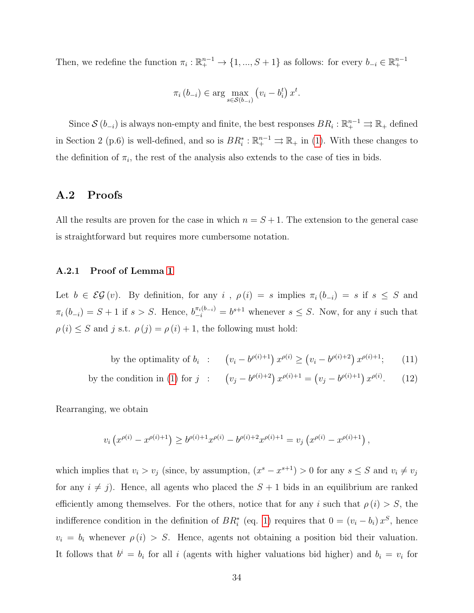Then, we redefine the function  $\pi_i : \mathbb{R}^{n-1}_+ \to \{1, ..., S+1\}$  as follows: for every  $b_{-i} \in \mathbb{R}^{n-1}_+$ 

$$
\pi_i(b_{-i}) \in \arg\max_{s \in \mathcal{S}(b_{-i})} \left(v_i - b_i^t\right) x^t.
$$

Since  $\mathcal{S}(b_{-i})$  is always non-empty and finite, the best responses  $BR_i : \mathbb{R}^{n-1}_+ \rightrightarrows \mathbb{R}_+$  defined in Section 2 (p.6) is well-defined, and so is  $BR_i^*: \mathbb{R}^{n-1}_+ \rightrightarrows \mathbb{R}_+$  in [\(1\)](#page-6-1). With these changes to the definition of  $\pi_i$ , the rest of the analysis also extends to the case of ties in bids.

### A.2 Proofs

All the results are proven for the case in which  $n = S + 1$ . The extension to the general case is straightforward but requires more cumbersome notation.

#### A.2.1 Proof of Lemma [1](#page-6-0)

Let  $b \in \mathcal{EG}(v)$ . By definition, for any i,  $\rho(i) = s$  implies  $\pi_i(b_{-i}) = s$  if  $s \leq S$  and  $\pi_i(b_{-i}) = S + 1$  if  $s > S$ . Hence,  $b_{-i}^{\pi_i(b_{-i})} = b^{s+1}$  whenever  $s \leq S$ . Now, for any i such that  $\rho(i) \leq S$  and j s.t.  $\rho(j) = \rho(i) + 1$ , the following must hold:

by the optimality of 
$$
b_i
$$
 :  $(v_i - b^{\rho(i)+1}) x^{\rho(i)} \ge (v_i - b^{\rho(i)+2}) x^{\rho(i)+1};$  (11)

by the condition in (1) for 
$$
j
$$
 :  $(v_j - b^{\rho(i)+2}) x^{\rho(i)+1} = (v_j - b^{\rho(i)+1}) x^{\rho(i)}$ . (12)

Rearranging, we obtain

$$
v_i\left(x^{\rho(i)} - x^{\rho(i)+1}\right) \ge b^{\rho(i)+1}x^{\rho(i)} - b^{\rho(i)+2}x^{\rho(i)+1} = v_j\left(x^{\rho(i)} - x^{\rho(i)+1}\right),
$$

which implies that  $v_i > v_j$  (since, by assumption,  $(x^s - x^{s+1}) > 0$  for any  $s \leq S$  and  $v_i \neq v_j$ for any  $i \neq j$ . Hence, all agents who placed the  $S + 1$  bids in an equilibrium are ranked efficiently among themselves. For the others, notice that for any i such that  $\rho(i) > S$ , the indifference condition in the definition of  $BR_i^*$  (eq. [1\)](#page-6-1) requires that  $0 = (v_i - b_i)x^S$ , hence  $v_i = b_i$  whenever  $\rho(i) > S$ . Hence, agents not obtaining a position bid their valuation. It follows that  $b^i = b_i$  for all i (agents with higher valuations bid higher) and  $b_i = v_i$  for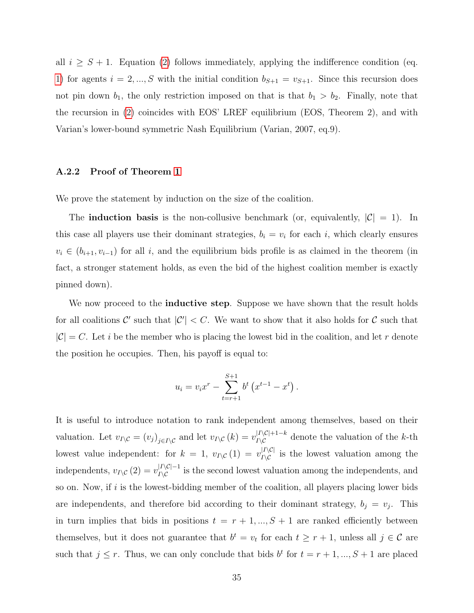all  $i \geq S + 1$ . Equation [\(2\)](#page-6-2) follows immediately, applying the indifference condition (eq. [1\)](#page-6-1) for agents  $i = 2, ..., S$  with the initial condition  $b_{S+1} = v_{S+1}$ . Since this recursion does not pin down  $b_1$ , the only restriction imposed on that is that  $b_1 > b_2$ . Finally, note that the recursion in [\(2\)](#page-6-2) coincides with EOS' LREF equilibrium (EOS, Theorem 2), and with Varian's lower-bound symmetric Nash Equilibrium (Varian, 2007, eq.9).

### A.2.2 Proof of Theorem [1](#page-14-0)

We prove the statement by induction on the size of the coalition.

The **induction basis** is the non-collusive benchmark (or, equivalently,  $|\mathcal{C}| = 1$ ). In this case all players use their dominant strategies,  $b_i = v_i$  for each i, which clearly ensures  $v_i \in (b_{i+1}, v_{i-1})$  for all i, and the equilibrium bids profile is as claimed in the theorem (in fact, a stronger statement holds, as even the bid of the highest coalition member is exactly pinned down).

We now proceed to the **inductive step**. Suppose we have shown that the result holds for all coalitions C' such that  $|C'| < C$ . We want to show that it also holds for C such that  $|\mathcal{C}| = C$ . Let *i* be the member who is placing the lowest bid in the coalition, and let *r* denote the position he occupies. Then, his payoff is equal to:

$$
u_i = v_i x^r - \sum_{t=r+1}^{S+1} b^t \left( x^{t-1} - x^t \right).
$$

It is useful to introduce notation to rank independent among themselves, based on their valuation. Let  $v_{I\setminus\mathcal{C}} = (v_j)_{j\in I\setminus\mathcal{C}}$  and let  $v_{I\setminus\mathcal{C}}(k) = v_{I\setminus\mathcal{C}}^{|I\setminus\mathcal{C}|+1-k}$  denote the valuation of the k-th lowest value independent: for  $k = 1$ ,  $v_{I\setminus\mathcal{C}}(1) = v_{I\setminus\mathcal{C}}^{|I\setminus\mathcal{C}|}$  is the lowest valuation among the independents,  $v_{I\setminus\mathcal{C}}(2) = v_{I\setminus\mathcal{C}}^{|I\setminus\mathcal{C}|-1}$  is the second lowest valuation among the independents, and so on. Now, if  $i$  is the lowest-bidding member of the coalition, all players placing lower bids are independents, and therefore bid according to their dominant strategy,  $b_j = v_j$ . This in turn implies that bids in positions  $t = r + 1, ..., S + 1$  are ranked efficiently between themselves, but it does not guarantee that  $b^t = v_t$  for each  $t \geq r + 1$ , unless all  $j \in \mathcal{C}$  are such that  $j \leq r$ . Thus, we can only conclude that bids  $b^t$  for  $t = r + 1, ..., S + 1$  are placed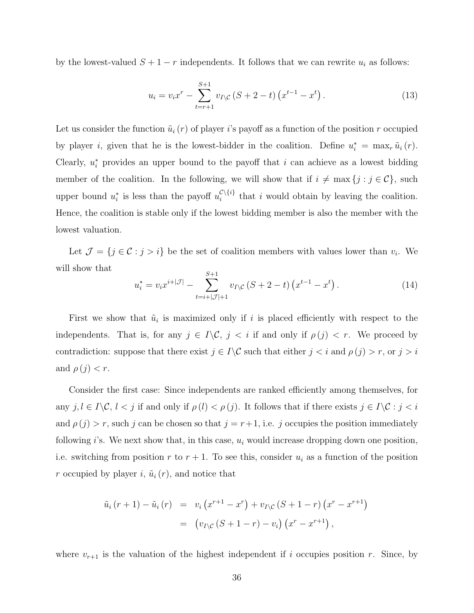by the lowest-valued  $S + 1 - r$  independents. It follows that we can rewrite  $u_i$  as follows:

<span id="page-36-1"></span>
$$
u_i = v_i x^r - \sum_{t=r+1}^{S+1} v_{I \setminus C} \left( S + 2 - t \right) \left( x^{t-1} - x^t \right). \tag{13}
$$

Let us consider the function  $\tilde{u}_i(r)$  of player is payoff as a function of the position r occupied by player *i*, given that he is the lowest-bidder in the coalition. Define  $u_i^* = \max_i \tilde{u}_i(r)$ . Clearly,  $u_i^*$  provides an upper bound to the payoff that i can achieve as a lowest bidding member of the coalition. In the following, we will show that if  $i \neq \max\{j : j \in C\}$ , such upper bound  $u_i^*$  is less than the payoff  $u_i^{\mathcal{C}\setminus\{i\}}$  $\mathcal{L}^{\setminus \{i\}}$  that i would obtain by leaving the coalition. Hence, the coalition is stable only if the lowest bidding member is also the member with the lowest valuation.

Let  $\mathcal{J} = \{j \in \mathcal{C} : j > i\}$  be the set of coalition members with values lower than  $v_i$ . We will show that  $\tilde{C}$  + 1

<span id="page-36-0"></span>
$$
u_i^* = v_i x^{i+|\mathcal{J}|} - \sum_{t=i+|\mathcal{J}|+1}^{S+1} v_{I \setminus \mathcal{C}} \left( S + 2 - t \right) \left( x^{t-1} - x^t \right). \tag{14}
$$

First we show that  $\tilde{u}_i$  is maximized only if i is placed efficiently with respect to the independents. That is, for any  $j \in I \backslash \mathcal{C}$ ,  $j < i$  if and only if  $\rho(j) < r$ . We proceed by contradiction: suppose that there exist  $j \in I \backslash C$  such that either  $j < i$  and  $\rho(j) > r$ , or  $j > i$ and  $\rho(j) < r$ .

Consider the first case: Since independents are ranked efficiently among themselves, for any  $j, l \in I \backslash C$ ,  $l < j$  if and only if  $\rho(l) < \rho(j)$ . It follows that if there exists  $j \in I \backslash C$ :  $j < i$ and  $\rho(j) > r$ , such j can be chosen so that  $j = r+1$ , i.e. j occupies the position immediately following i's. We next show that, in this case,  $u_i$  would increase dropping down one position, i.e. switching from position r to  $r + 1$ . To see this, consider  $u_i$  as a function of the position r occupied by player i,  $\tilde{u}_i(r)$ , and notice that

$$
\tilde{u}_i (r+1) - \tilde{u}_i (r) = v_i (x^{r+1} - x^r) + v_{I \setminus C} (S+1-r) (x^r - x^{r+1})
$$
  
=  $(v_{I \setminus C} (S+1-r) - v_i) (x^r - x^{r+1}),$ 

where  $v_{r+1}$  is the valuation of the highest independent if i occupies position r. Since, by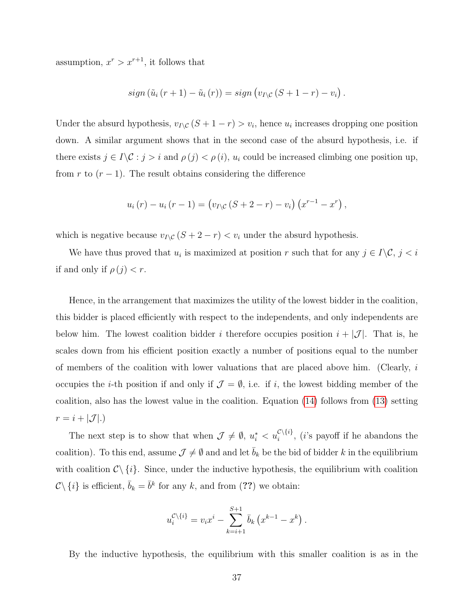assumption,  $x^r > x^{r+1}$ , it follows that

$$
sign\left(\tilde{u}_i\left(r+1\right)-\tilde{u}_i\left(r\right)\right)=sign\left(v_{I\setminus\mathcal{C}}\left(S+1-r\right)-v_i\right).
$$

Under the absurd hypothesis,  $v_{I\setminus\mathcal{C}}(S + 1 - r) > v_i$ , hence  $u_i$  increases dropping one position down. A similar argument shows that in the second case of the absurd hypothesis, i.e. if there exists  $j \in I \backslash \mathcal{C} : j > i$  and  $\rho(j) < \rho(i)$ ,  $u_i$  could be increased climbing one position up, from r to  $(r-1)$ . The result obtains considering the difference

$$
u_i(r) - u_i(r - 1) = (v_{I \setminus C} (S + 2 - r) - v_i) (x^{r-1} - x^r),
$$

which is negative because  $v_{I\setminus\mathcal{C}}(S + 2 - r) < v_i$  under the absurd hypothesis.

We have thus proved that  $u_i$  is maximized at position r such that for any  $j \in I \backslash \mathcal{C}$ ,  $j < i$ if and only if  $\rho(j) < r$ .

Hence, in the arrangement that maximizes the utility of the lowest bidder in the coalition, this bidder is placed efficiently with respect to the independents, and only independents are below him. The lowest coalition bidder i therefore occupies position  $i + |\mathcal{J}|$ . That is, he scales down from his efficient position exactly a number of positions equal to the number of members of the coalition with lower valuations that are placed above him. (Clearly,  $i$ occupies the *i*-th position if and only if  $\mathcal{J} = \emptyset$ , i.e. if *i*, the lowest bidding member of the coalition, also has the lowest value in the coalition. Equation [\(14\)](#page-36-0) follows from [\(13\)](#page-36-1) setting  $r = i + |\mathcal{J}|.$ 

The next step is to show that when  $\mathcal{J} \neq \emptyset$ ,  $u_i^* < u_i^{C \setminus \{i\}}$ , (*i*'s payoff if he abandons the coalition). To this end, assume  $\mathcal{J} \neq \emptyset$  and and let  $\bar{b}_k$  be the bid of bidder k in the equilibrium with coalition  $C \setminus \{i\}$ . Since, under the inductive hypothesis, the equilibrium with coalition  $\mathcal{C}\setminus\{i\}$  is efficient,  $\bar{b}_k = \bar{b}^k$  for any k, and from (??) we obtain:

$$
u_i^{\mathcal{C}\setminus\{i\}} = v_i x^i - \sum_{k=i+1}^{S+1} \bar{b}_k (x^{k-1} - x^k).
$$

By the inductive hypothesis, the equilibrium with this smaller coalition is as in the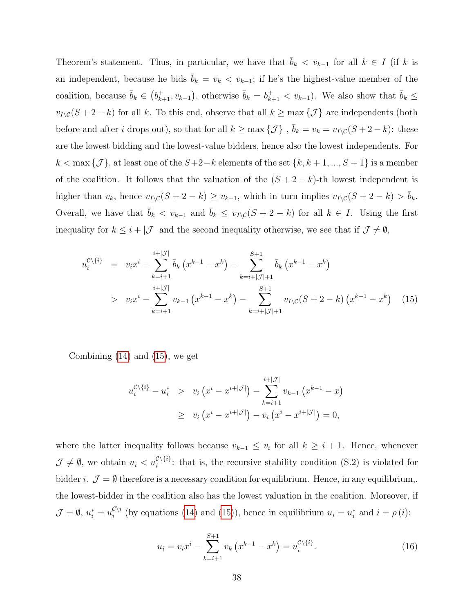Theorem's statement. Thus, in particular, we have that  $\bar{b}_k < v_{k-1}$  for all  $k \in I$  (if k is an independent, because he bids  $\bar{b}_k = v_k < v_{k-1}$ ; if he's the highest-value member of the coalition, because  $\bar{b}_k \in (b_{k+1}^+, v_{k-1})$ , otherwise  $\bar{b}_k = b_{k+1}^+ < v_{k-1}$ ). We also show that  $\bar{b}_k \leq$  $v_I\chi(C+S - k)$  for all k. To this end, observe that all  $k \ge \max\{\mathcal{J}\}\$ are independents (both before and after *i* drops out), so that for all  $k \ge \max{\{\mathcal{J}\}}$ ,  $\bar{b}_k = v_k = v_{I\setminus\mathcal{C}}(S + 2 - k)$ : these are the lowest bidding and the lowest-value bidders, hence also the lowest independents. For  $k < \max{\{\mathcal{J}\}}$ , at least one of the  $S+2-k$  elements of the set  $\{k, k+1, ..., S+1\}$  is a member of the coalition. It follows that the valuation of the  $(S + 2 - k)$ -th lowest independent is higher than  $v_k$ , hence  $v_{I\setminus C}(S + 2 - k) \ge v_{k-1}$ , which in turn implies  $v_{I\setminus C}(S + 2 - k) > \bar{b}_k$ . Overall, we have that  $\bar{b}_k < v_{k-1}$  and  $\bar{b}_k \le v_{I\setminus C}(S + 2 - k)$  for all  $k \in I$ . Using the first inequality for  $k \leq i + |\mathcal{J}|$  and the second inequality otherwise, we see that if  $\mathcal{J} \neq \emptyset$ ,

<span id="page-38-0"></span>
$$
u_i^{\mathcal{C}\backslash\{i\}} = v_i x^i - \sum_{k=i+1}^{i+|\mathcal{J}|} \bar{b}_k (x^{k-1} - x^k) - \sum_{k=i+|\mathcal{J}|+1}^{S+1} \bar{b}_k (x^{k-1} - x^k)
$$
  
> 
$$
v_i x^i - \sum_{k=i+1}^{i+|\mathcal{J}|} v_{k-1} (x^{k-1} - x^k) - \sum_{k=i+|\mathcal{J}|+1}^{S+1} v_{I\backslash\mathcal{C}} (S+2-k) (x^{k-1} - x^k) \quad (15)
$$

Combining [\(14\)](#page-36-0) and [\(15\)](#page-38-0), we get

$$
u_i^{\mathcal{C}\setminus\{i\}} - u_i^* > v_i \left( x^i - x^{i+|\mathcal{J}|} \right) - \sum_{k=i+1}^{i+|\mathcal{J}|} v_{k-1} \left( x^{k-1} - x \right) \\
&\ge v_i \left( x^i - x^{i+|\mathcal{J}|} \right) - v_i \left( x^i - x^{i+|\mathcal{J}|} \right) = 0,
$$

where the latter inequality follows because  $v_{k-1} \leq v_i$  for all  $k \geq i+1$ . Hence, whenever  $\mathcal{J} \neq \emptyset$ , we obtain  $u_i < u_i^{\mathcal{C}\setminus\{i\}}$ : that is, the recursive stability condition (S.2) is violated for bidder i.  $\mathcal{J} = \emptyset$  therefore is a necessary condition for equilibrium. Hence, in any equilibrium,. the lowest-bidder in the coalition also has the lowest valuation in the coalition. Moreover, if  $\mathcal{J} = \emptyset, u_i^* = u_i^{\mathcal{C}\setminus i}$  $\iota_i^{\mathcal{C}\setminus i}$  (by equations [\(14\)](#page-36-0) and [\(15\)](#page-38-0)), hence in equilibrium  $u_i = u_i^*$  and  $i = \rho(i)$ :

<span id="page-38-1"></span>
$$
u_i = v_i x^i - \sum_{k=i+1}^{S+1} v_k (x^{k-1} - x^k) = u_i^{\mathcal{C}\backslash\{i\}}.
$$
 (16)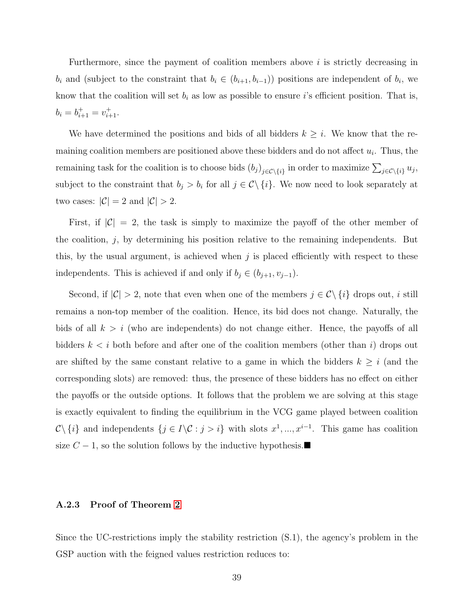Furthermore, since the payment of coalition members above i is strictly decreasing in  $b_i$  and (subject to the constraint that  $b_i \in (b_{i+1}, b_{i-1})$ ) positions are independent of  $b_i$ , we know that the coalition will set  $b_i$  as low as possible to ensure i's efficient position. That is,  $b_i = b_{i+1}^+ = v_{i+1}^+$ .

We have determined the positions and bids of all bidders  $k \geq i$ . We know that the remaining coalition members are positioned above these bidders and do not affect  $u_i$ . Thus, the remaining task for the coalition is to choose bids  $(b_j)_{j \in C \setminus \{i\}}$  in order to maximize  $\sum_{j \in C \setminus \{i\}} u_j$ , subject to the constraint that  $b_j > b_i$  for all  $j \in \mathcal{C} \setminus \{i\}$ . We now need to look separately at two cases:  $|\mathcal{C}| = 2$  and  $|\mathcal{C}| > 2$ .

First, if  $|\mathcal{C}| = 2$ , the task is simply to maximize the payoff of the other member of the coalition,  $j$ , by determining his position relative to the remaining independents. But this, by the usual argument, is achieved when  $j$  is placed efficiently with respect to these independents. This is achieved if and only if  $b_j \in (b_{j+1}, v_{j-1})$ .

Second, if  $|\mathcal{C}| > 2$ , note that even when one of the members  $j \in \mathcal{C} \setminus \{i\}$  drops out, i still remains a non-top member of the coalition. Hence, its bid does not change. Naturally, the bids of all  $k > i$  (who are independents) do not change either. Hence, the payoffs of all bidders  $k \lt i$  both before and after one of the coalition members (other than i) drops out are shifted by the same constant relative to a game in which the bidders  $k \geq i$  (and the corresponding slots) are removed: thus, the presence of these bidders has no effect on either the payoffs or the outside options. It follows that the problem we are solving at this stage is exactly equivalent to finding the equilibrium in the VCG game played between coalition  $\mathcal{C}\setminus\{i\}$  and independents  $\{j\in I\setminus\mathcal{C}:j>i\}$  with slots  $x^1,...,x^{i-1}$ . This game has coalition size  $C - 1$ , so the solution follows by the inductive hypothesis.

#### A.2.3 Proof of Theorem [2](#page-17-1)

Since the UC-restrictions imply the stability restriction (S.1), the agency's problem in the GSP auction with the feigned values restriction reduces to: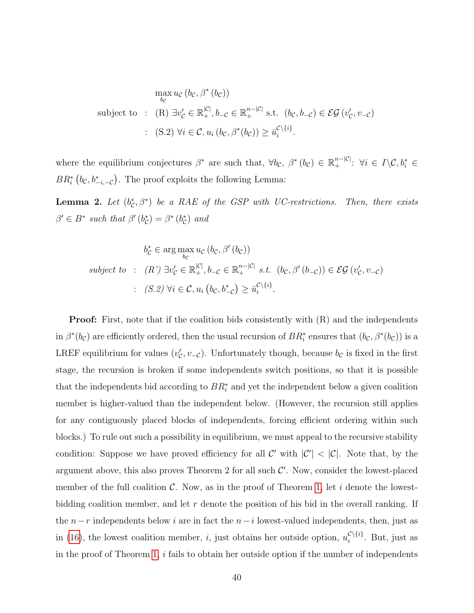$$
\max_{b_c} u_c (b_c, \beta^*(b_c))
$$
\nsubject to : (R)  $\exists v'_c \in \mathbb{R}_+^{|c|}, b_{-c} \in \mathbb{R}_+^{n-|c|}$  s.t.  $(b_c, b_{-c}) \in \mathcal{EG}(v'_c, v_{-c})$   
\n: (S.2)  $\forall i \in C, u_i (b_c, \beta^*(b_c)) \ge \overline{u}_i^{c \setminus \{i\}}$ .

where the equilibrium conjectures  $\beta^*$  are such that,  $\forall b_{\mathcal{C}}, \beta^*(b_{\mathcal{C}}) \in \mathbb{R}^{n-|\mathcal{C}|}_+$ :  $\forall i \in I \setminus \mathcal{C}, b_i^* \in$  $BR^*_{i}(b_{\mathcal{C}}, b^*_{-i,-\mathcal{C}})$ . The proof exploits the following Lemma:

**Lemma 2.** Let  $(b_c^*, \beta^*)$  be a RAE of the GSP with UC-restrictions. Then, there exists  $\beta' \in B^*$  such that  $\beta'(b_{\mathcal{C}}^*) = \beta^*(b_{\mathcal{C}}^*)$  and

$$
b_{\mathcal{C}}^{*} \in \arg \max_{b_{\mathcal{C}}} u_{\mathcal{C}} (b_{\mathcal{C}}, \beta'(b_{\mathcal{C}}))
$$
  
subject to :  $(R') \exists v_{\mathcal{C}}' \in \mathbb{R}_{+}^{|\mathcal{C}|}, b_{-\mathcal{C}} \in \mathbb{R}_{+}^{n-|\mathcal{C}|} \ s.t. \ (b_{\mathcal{C}}, \beta'(b_{-\mathcal{C}})) \in \mathcal{EG}(v_{\mathcal{C}}', v_{-\mathcal{C}})$   
:  $(S.2) \forall i \in \mathcal{C}, u_{i} (b_{\mathcal{C}}, b_{-\mathcal{C}}^{*}) \ge \bar{u}_{i}^{\mathcal{C}\backslash\{i\}}.$ 

**Proof:** First, note that if the coalition bids consistently with  $(R)$  and the independents in  $\beta^*(b_{\mathcal{C}})$  are efficiently ordered, then the usual recursion of  $BR_i^*$  ensures that  $(b_{\mathcal{C}}, \beta^*(b_{\mathcal{C}}))$  is a LREF equilibrium for values  $(v'_{\mathcal{C}}, v_{-\mathcal{C}})$ . Unfortunately though, because  $b_{\mathcal{C}}$  is fixed in the first stage, the recursion is broken if some independents switch positions, so that it is possible that the independents bid according to  $BR_i^*$  and yet the independent below a given coalition member is higher-valued than the independent below. (However, the recursion still applies for any contiguously placed blocks of independents, forcing efficient ordering within such blocks.) To rule out such a possibility in equilibrium, we must appeal to the recursive stability condition: Suppose we have proved efficiency for all C' with  $|C'| < |C|$ . Note that, by the argument above, this also proves Theorem 2 for all such  $\mathcal{C}'$ . Now, consider the lowest-placed member of the full coalition  $\mathcal{C}$ . Now, as in the proof of Theorem [1,](#page-14-0) let i denote the lowestbidding coalition member, and let  $r$  denote the position of his bid in the overall ranking. If the  $n-r$  independents below i are in fact the  $n-i$  lowest-valued independents, then, just as in [\(16\)](#page-38-1), the lowest coalition member, *i*, just obtains her outside option,  $u_i^{\mathcal{C}\setminus\{i\}}$  $i^{\mathcal{C}\setminus\{i\}}$ . But, just as in the proof of Theorem [1,](#page-14-0)  $i$  fails to obtain her outside option if the number of independents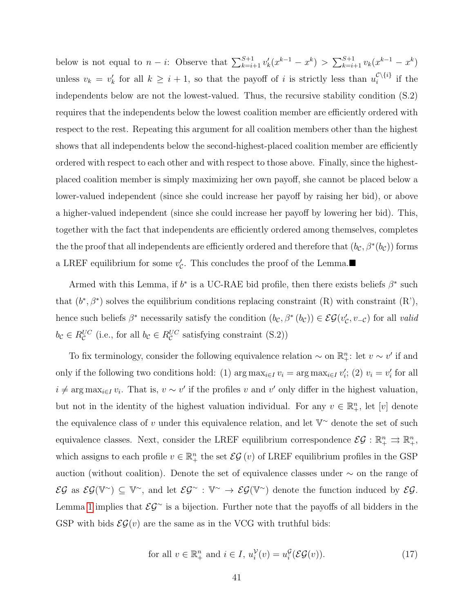below is not equal to  $n - i$ : Observe that  $\sum_{k=i+1}^{S+1} v'_k(x^{k-1} - x^k) > \sum_{k=i+1}^{S+1} v_k(x^{k-1} - x^k)$ unless  $v_k = v'_k$  for all  $k \geq i + 1$ , so that the payoff of i is strictly less than  $u_i^{\mathcal{C}\setminus\{i\}}$  $i^{\cup \{i\}}$  if the independents below are not the lowest-valued. Thus, the recursive stability condition (S.2) requires that the independents below the lowest coalition member are efficiently ordered with respect to the rest. Repeating this argument for all coalition members other than the highest shows that all independents below the second-highest-placed coalition member are efficiently ordered with respect to each other and with respect to those above. Finally, since the highestplaced coalition member is simply maximizing her own payoff, she cannot be placed below a lower-valued independent (since she could increase her payoff by raising her bid), or above a higher-valued independent (since she could increase her payoff by lowering her bid). This, together with the fact that independents are efficiently ordered among themselves, completes the the proof that all independents are efficiently ordered and therefore that  $(b_{\mathcal{C}}, \beta^*(b_{\mathcal{C}}))$  forms a LREF equilibrium for some  $v'_{\mathcal{C}}$ . This concludes the proof of the Lemma.

Armed with this Lemma, if  $b^*$  is a UC-RAE bid profile, then there exists beliefs  $\beta^*$  such that  $(b^*, \beta^*)$  solves the equilibrium conditions replacing constraint  $(R)$  with constraint  $(R)$ , hence such beliefs  $\beta^*$  necessarily satisfy the condition  $(b_{\mathcal{C}}, \beta^*(b_{\mathcal{C}})) \in \mathcal{EG}(v'_{\mathcal{C}}, v_{-\mathcal{C}})$  for all valid  $b_{\mathcal{C}} \in R_{\mathcal{C}}^{UC}$  (i.e., for all  $b_{\mathcal{C}} \in R_{\mathcal{C}}^{UC}$  satisfying constraint (S.2))

To fix terminology, consider the following equivalence relation  $\sim$  on  $\mathbb{R}^n_+$ : let  $v \sim v'$  if and only if the following two conditions hold: (1)  $\arg \max_{i \in I} v_i = \arg \max_{i \in I} v'_i$ ; (2)  $v_i = v'_i$  for all  $i \neq \arg \max_{i \in I} v_i$ . That is,  $v \sim v'$  if the profiles v and v' only differ in the highest valuation, but not in the identity of the highest valuation individual. For any  $v \in \mathbb{R}^n_+$ , let  $[v]$  denote the equivalence class of v under this equivalence relation, and let  $V^{\sim}$  denote the set of such equivalence classes. Next, consider the LREF equilibrium correspondence  $EG: \mathbb{R}^n_+ \rightrightarrows \mathbb{R}^n_+$ , which assigns to each profile  $v \in \mathbb{R}^n_+$  the set  $\mathcal{EG}(v)$  of LREF equilibrium profiles in the GSP auction (without coalition). Denote the set of equivalence classes under ∼ on the range of  $\mathcal{EG}$  as  $\mathcal{EG}(\mathbb{V}^{\sim}) \subseteq \mathbb{V}^{\sim}$ , and let  $\mathcal{EG}^{\sim} : \mathbb{V}^{\sim} \to \mathcal{EG}(\mathbb{V}^{\sim})$  denote the function induced by  $\mathcal{EG}$ . Lemma [1](#page-6-0) implies that  $\mathcal{EG}^{\sim}$  is a bijection. Further note that the payoffs of all bidders in the GSP with bids  $\mathcal{EG}(v)$  are the same as in the VCG with truthful bids:

<span id="page-41-0"></span>for all 
$$
v \in \mathbb{R}_+^n
$$
 and  $i \in I$ ,  $u_i^{\mathcal{V}}(v) = u_i^{\mathcal{G}}(\mathcal{EG}(v))$ . (17)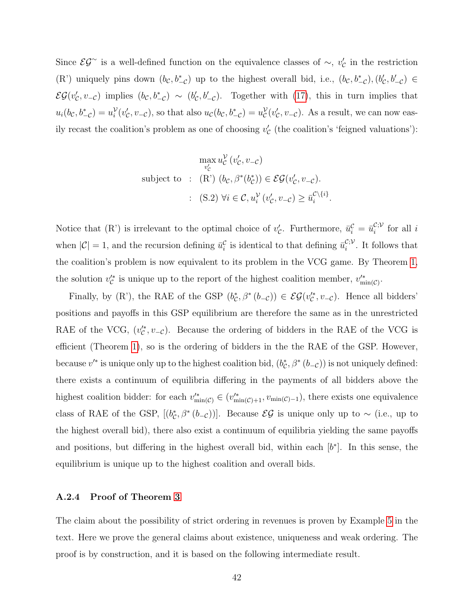Since  $\mathcal{EG}^{\sim}$  is a well-defined function on the equivalence classes of  $\sim$ ,  $v'_{\mathcal{C}}$  in the restriction (R') uniquely pins down  $(b_c, b_{-c}^*)$  up to the highest overall bid, i.e.,  $(b_c, b_{-c}^*), (b_c', b_{-c}') \in$  $\mathcal{EG}(v'_\mathcal{C}, v_{-\mathcal{C}})$  implies  $(b_\mathcal{C}, b_{-\mathcal{C}}^*) \sim (b'_\mathcal{C}, b'_{-\mathcal{C}})$ . Together with [\(17\)](#page-41-0), this in turn implies that  $u_i(b_\mathcal{C}, b_{-\mathcal{C}}^*) = u_i^{\mathcal{V}}(v'_\mathcal{C}, v_{-\mathcal{C}})$ , so that also  $u_\mathcal{C}(b_\mathcal{C}, b_{-\mathcal{C}}^*) = u_\mathcal{C}^{\mathcal{V}}(v'_\mathcal{C}, v_{-\mathcal{C}})$ . As a result, we can now easily recast the coalition's problem as one of choosing  $v'_{\mathcal{C}}$  (the coalition's 'feigned valuations'):

$$
\max_{v'_{\mathcal{C}}} u_{\mathcal{C}}^{\mathcal{V}}(v'_{\mathcal{C}}, v_{-\mathcal{C}})
$$
\nsubject to : (R')  $(b_{\mathcal{C}}, \beta^*(b_{\mathcal{C}}^*)) \in \mathcal{EG}(v'_{\mathcal{C}}, v_{-\mathcal{C}}).$   
\n: (S.2)  $\forall i \in \mathcal{C}, u_i^{\mathcal{V}}(v'_{\mathcal{C}}, v_{-\mathcal{C}}) \ge \overline{u}_i^{\mathcal{C}\setminus\{i\}}.$ 

Notice that (R') is irrelevant to the optimal choice of  $v'_c$ . Furthermore,  $\bar{u}_i^c = \bar{u}_i^{c,\mathcal{V}}$  $i^{(i)}$  for all i when  $|\mathcal{C}| = 1$ , and the recursion defining  $\bar{u}_i^{\mathcal{C}}$  is identical to that defining  $\bar{u}_i^{\mathcal{C};\mathcal{V}}$  $i^{(i)}$ . It follows that the coalition's problem is now equivalent to its problem in the VCG game. By Theorem [1,](#page-14-0) the solution  $v_{\mathcal{C}}^{\prime*}$  is unique up to the report of the highest coalition member,  $v_{\min(\mathcal{C})}^{\prime*}$ .

Finally, by (R'), the RAE of the GSP  $(b_c^*, \beta^*(b_{-c})) \in \mathcal{EG}(v_c^*, v_{-c})$ . Hence all bidders' positions and payoffs in this GSP equilibrium are therefore the same as in the unrestricted RAE of the VCG,  $(v_{\mathcal{C}}^{\prime\ast}, v_{-\mathcal{C}})$ . Because the ordering of bidders in the RAE of the VCG is efficient (Theorem [1\)](#page-14-0), so is the ordering of bidders in the the RAE of the GSP. However, because  $v'^*$  is unique only up to the highest coalition bid,  $(b_c^*, \beta^*(b_{-c}))$  is not uniquely defined: there exists a continuum of equilibria differing in the payments of all bidders above the highest coalition bidder: for each  $v_{\min(\mathcal{C})}^{\prime*} \in (v_{\min(\mathcal{C})+1}^{\prime*}, v_{\min(\mathcal{C})-1})$ , there exists one equivalence class of RAE of the GSP,  $[(b_{\mathcal{C}}^*, \beta^*(b_{-\mathcal{C}}))]$ . Because  $\mathcal{EG}$  is unique only up to ~ (i.e., up to the highest overall bid), there also exist a continuum of equilibria yielding the same payoffs and positions, but differing in the highest overall bid, within each  $[b^*]$ . In this sense, the equilibrium is unique up to the highest coalition and overall bids.

#### A.2.4 Proof of Theorem [3](#page-20-0)

The claim about the possibility of strict ordering in revenues is proven by Example [5](#page-21-0) in the text. Here we prove the general claims about existence, uniqueness and weak ordering. The proof is by construction, and it is based on the following intermediate result.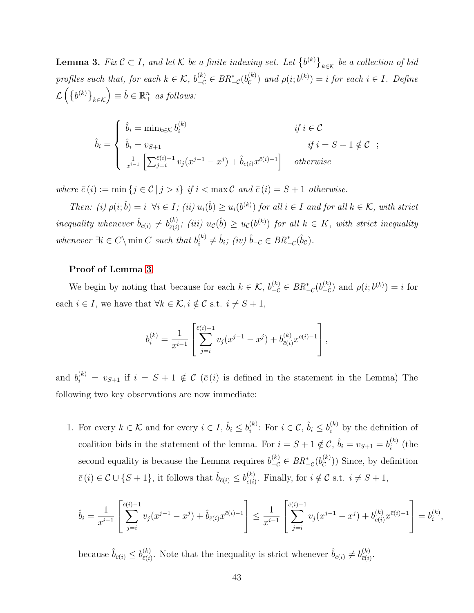<span id="page-43-0"></span>**Lemma 3.** Fix  $C \subset I$ , and let K be a finite indexing set. Let  $\{b^{(k)}\}_{k \in K}$  be a collection of bid profiles such that, for each  $k \in \mathcal{K}$ ,  $b_{-\mathcal{C}}^{(k)} \in BR_{-\mathcal{C}}^*(b_{\mathcal{C}}^{(k)})$  $\mathcal{L}^{(k)}_{\mathcal{C}}$  and  $\rho(i;b^{(k)})=i$  for each  $i \in I$ . Define  $\mathcal{L}\left(\left\{b^{(k)}\right\}_{k\in\mathcal{K}}\right)\equiv\hat{b}\in\mathbb{R}^n_+$  as follows:

$$
\hat{b}_i = \begin{cases}\n\hat{b}_i = \min_{k \in \mathcal{K}} b_i^{(k)} & \text{if } i \in \mathcal{C} \\
\hat{b}_i = v_{S+1} & \text{if } i = S+1 \notin \mathcal{C} \\
\frac{1}{x^{i-1}} \left[ \sum_{j=i}^{\bar{c}(i)-1} v_j(x^{j-1} - x^j) + \hat{b}_{\bar{c}(i)} x^{\bar{c}(i)-1} \right] & \text{otherwise}\n\end{cases}
$$

where  $\bar{c}(i) := \min\{j \in \mathcal{C} \mid j > i\}$  if  $i < \max \mathcal{C}$  and  $\bar{c}(i) = S + 1$  otherwise.

Then: (i)  $\rho(i; \hat{b}) = i \ \forall i \in I$ ; (ii)  $u_i(\hat{b}) \geq u_i(b^{(k)})$  for all  $i \in I$  and for all  $k \in K$ , with strict inequality whenever  $\hat{b}_{\bar{c}(i)} \neq b_{\bar{c}(i)}^{(k)}$  $\tilde{c}_{(\tilde{c}(\tilde{t}))}^{(k)}$ ; (iii)  $u_{\mathcal{C}}(\tilde{b}) \geq u_{\mathcal{C}}(b^{(k)})$  for all  $k \in K$ , with strict inequality whenever  $\exists i \in C \setminus \min C$  such that  $b_i^{(k)}$  $i_i^{(k)} \neq \hat{b}_i$ ; (iv)  $\hat{b}_{-\mathcal{C}} \in BR_{-\mathcal{C}}^*(\hat{b}_{\mathcal{C}})$ .

#### Proof of Lemma [3](#page-43-0)

We begin by noting that because for each  $k \in \mathcal{K}$ ,  $b_{-\mathcal{C}}^{(k)} \in BR_{-\mathcal{C}}^{*}(b_{-\mathcal{C}}^{(k)})$  and  $\rho(i;b^{(k)}) = i$  for each  $i \in I$ , we have that  $\forall k \in \mathcal{K}$ ,  $i \notin \mathcal{C}$  s.t.  $i \neq S + 1$ ,

$$
b_i^{(k)} = \frac{1}{x^{i-1}} \left[ \sum_{j=i}^{\bar{c}(i)-1} v_j(x^{j-1} - x^j) + b_{\bar{c}(i)}^{(k)} x^{\bar{c}(i)-1} \right],
$$

and  $b_i^{(k)} = v_{S+1}$  if  $i = S+1 \notin \mathcal{C}$  ( $\bar{c}(i)$  is defined in the statement in the Lemma) The following two key observations are now immediate:

1. For every  $k \in \mathcal{K}$  and for every  $i \in I$ ,  $\hat{b}_i \leq b_i^{(k)}$  $i^{(k)}$ : For  $i \in \mathcal{C}$ ,  $\hat{b}_i \leq b_i^{(k)}$  by the definition of coalition bids in the statement of the lemma. For  $i = S + 1 \notin \mathcal{C}$ ,  $\hat{b}_i = v_{S+1} = b_i^{(k)}$  $i^{(\kappa)}$  (the second equality is because the Lemma requires  $b_{-\mathcal{C}}^{(k)} \in BR^*_{-\mathcal{C}}(b_{\mathcal{C}}^{(k)})$  $\mathcal{C}^{(k)}$ )) Since, by definition  $\bar{c}(i) \in \mathcal{C} \cup \{S+1\}$ , it follows that  $\hat{b}_{\bar{c}(i)} \leq b_{\bar{c}(i)}^{(k)}$  $\overline{c}(i)$ . Finally, for  $i \notin \mathcal{C}$  s.t.  $i \neq S+1$ ,

$$
\hat{b}_i = \frac{1}{x^{i-1}} \left[ \sum_{j=i}^{\bar{c}(i)-1} v_j(x^{j-1} - x^j) + \hat{b}_{\bar{c}(i)} x^{\bar{c}(i)-1} \right] \le \frac{1}{x^{i-1}} \left[ \sum_{j=i}^{\bar{c}(i)-1} v_j(x^{j-1} - x^j) + b_{\bar{c}(i)}^{(k)} x^{\bar{c}(i)-1} \right] = b_i^{(k)}
$$

,

because  $\hat{b}_{\bar{c}(i)} \leq b_{\bar{c}(i)}^{(k)}$  $\hat{c}_{\bar{c}(i)}^{(k)}$ . Note that the inequality is strict whenever  $\hat{b}_{\bar{c}(i)} \neq b_{\bar{c}(i)}^{(k)}$  $\frac{(\kappa)}{\bar{c}(i)}$ .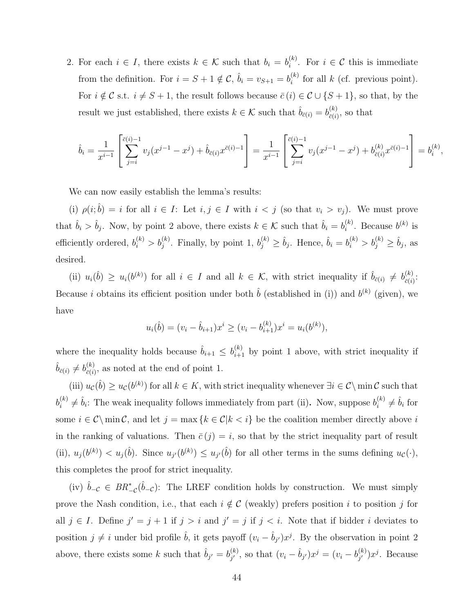2. For each  $i \in I$ , there exists  $k \in \mathcal{K}$  such that  $b_i = b_i^{(k)}$  $i^{(k)}$ . For  $i \in \mathcal{C}$  this is immediate from the definition. For  $i = S + 1 \notin \mathcal{C}$ ,  $\hat{b}_i = v_{S+1} = b_i^{(k)}$  $i^{(k)}$  for all k (cf. previous point). For  $i \notin \mathcal{C}$  s.t.  $i \neq S + 1$ , the result follows because  $\bar{c}(i) \in \mathcal{C} \cup \{S + 1\}$ , so that, by the result we just established, there exists  $k \in \mathcal{K}$  such that  $\hat{b}_{\bar{c}(i)} = b_{\bar{c}(i)}^{(k)}$  $\frac{c^{(k)}}{c(i)}$ , so that

$$
\hat{b}_i = \frac{1}{x^{i-1}} \left[ \sum_{j=i}^{\bar{c}(i)-1} v_j(x^{j-1} - x^j) + \hat{b}_{\bar{c}(i)} x^{\bar{c}(i)-1} \right] = \frac{1}{x^{i-1}} \left[ \sum_{j=i}^{\bar{c}(i)-1} v_j(x^{j-1} - x^j) + b_{\bar{c}(i)}^{(k)} x^{\bar{c}(i)-1} \right] = b_i^{(k)},
$$

We can now easily establish the lemma's results:

(i)  $\rho(i; \hat{b}) = i$  for all  $i \in I$ : Let  $i, j \in I$  with  $i < j$  (so that  $v_i > v_j$ ). We must prove that  $\hat{b}_i > \hat{b}_j$ . Now, by point 2 above, there exists  $k \in \mathcal{K}$  such that  $\hat{b}_i = b_i^{(k)}$  $i^{(k)}$ . Because  $b^{(k)}$  is efficiently ordered,  $b_i^{(k)} > b_j^{(k)}$ . Finally, by point 1,  $b_j^{(k)} \geq \hat{b}_j$ . Hence,  $\hat{b}_i = b_i^{(k)} > b_j^{(k)} \geq \hat{b}_j$ , as desired.

(ii)  $u_i(\hat{b}) \geq u_i(b^{(k)})$  for all  $i \in I$  and all  $k \in \mathcal{K}$ , with strict inequality if  $\hat{b}_{\bar{c}(i)} \neq b_{\bar{c}(i)}^{(k)}$  $\frac{(\kappa)}{\bar{c}(i)}$ : Because *i* obtains its efficient position under both  $\hat{b}$  (established in (i)) and  $b^{(k)}$  (given), we have

$$
u_i(\hat{b}) = (v_i - \hat{b}_{i+1})x^i \ge (v_i - b_{i+1}^{(k)})x^i = u_i(b^{(k)}),
$$

where the inequality holds because  $\hat{b}_{i+1} \leq b_{i+1}^{(k)}$  by point 1 above, with strict inequality if  $\hat{b}_{\bar{c}(i)} \neq b_{\bar{c}(i)}^{(k)}$  $\frac{d^{(k)}}{d\bar{c}(i)}$ , as noted at the end of point 1.

(iii)  $u_c(\hat{b}) \geq u_c(b^{(k)})$  for all  $k \in K$ , with strict inequality whenever  $\exists i \in \mathcal{C} \setminus \min \mathcal{C}$  such that  $b_i^{(k)}$  $\hat{b}_i^{(k)} \neq \hat{b}_i$ : The weak inequality follows immediately from part (ii). Now, suppose  $b_i^{(k)}$  $\binom{k}{i} \neq \hat{b}_i$  for some  $i \in \mathcal{C} \setminus \min \mathcal{C}$ , and let  $j = \max \{k \in \mathcal{C} | k < i\}$  be the coalition member directly above i in the ranking of valuations. Then  $\bar{c}(j) = i$ , so that by the strict inequality part of result (ii),  $u_j(b^{(k)}) < u_j(\hat{b})$ . Since  $u_{j'}(b^{(k)}) \leq u_{j'}(\hat{b})$  for all other terms in the sums defining  $u_c(\cdot)$ , this completes the proof for strict inequality.

(iv)  $\hat{b}_{-C} \in BR_{-C}^*(\hat{b}_{-C})$ : The LREF condition holds by construction. We must simply prove the Nash condition, i.e., that each  $i \notin C$  (weakly) prefers position i to position j for all  $j \in I$ . Define  $j' = j + 1$  if  $j > i$  and  $j' = j$  if  $j < i$ . Note that if bidder i deviates to position  $j \neq i$  under bid profile  $\hat{b}$ , it gets payoff  $(v_i - \hat{b}_{j'})x^j$ . By the observation in point 2 above, there exists some k such that  $\hat{b}_{j'} = b_{j'}^{(k)}$  $j'$ , so that  $(v_i - \hat{b}_{j'})x^j = (v_i - b_{j'}^{(k)})$  $j'_{j'}$ ) $x^j$ . Because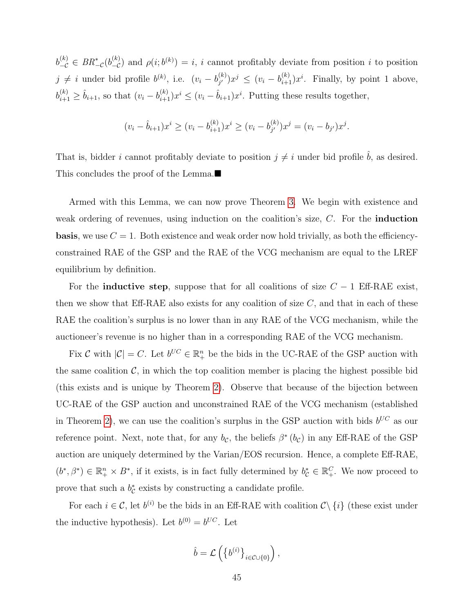$b_{-\mathcal{C}}^{(k)} \in BR^*_{-\mathcal{C}}(b_{-\mathcal{C}}^{(k)})$  and  $\rho(i; b^{(k)}) = i$ , i cannot profitably deviate from position i to position  $j \neq i$  under bid profile  $b^{(k)}$ , i.e.  $(v_i - b_{i'}^{(k)})$  $j^{(k)}_{j'}$ ) $x^j \leq (v_i - b_{i+1}^{(k)})x^i$ . Finally, by point 1 above,  $b_{i+1}^{(k)} \geq \hat{b}_{i+1}$ , so that  $(v_i - b_{i+1}^{(k)})x^i \leq (v_i - \hat{b}_{i+1})x^i$ . Putting these results together,

$$
(v_i - \hat{b}_{i+1})x^i \ge (v_i - b_{i+1}^{(k)})x^i \ge (v_i - b_{j'}^{(k)})x^j = (v_i - b_{j'})x^j.
$$

That is, bidder *i* cannot profitably deviate to position  $j \neq i$  under bid profile  $\hat{b}$ , as desired. This concludes the proof of the Lemma.

Armed with this Lemma, we can now prove Theorem [3.](#page-20-0) We begin with existence and weak ordering of revenues, using induction on the coalition's size, C. For the **induction basis**, we use  $C = 1$ . Both existence and weak order now hold trivially, as both the efficiencyconstrained RAE of the GSP and the RAE of the VCG mechanism are equal to the LREF equilibrium by definition.

For the **inductive step**, suppose that for all coalitions of size  $C - 1$  Eff-RAE exist, then we show that Eff-RAE also exists for any coalition of size  $C$ , and that in each of these RAE the coalition's surplus is no lower than in any RAE of the VCG mechanism, while the auctioneer's revenue is no higher than in a corresponding RAE of the VCG mechanism.

Fix C with  $|\mathcal{C}| = C$ . Let  $b^{UC} \in \mathbb{R}^n_+$  be the bids in the UC-RAE of the GSP auction with the same coalition  $\mathcal{C}$ , in which the top coalition member is placing the highest possible bid (this exists and is unique by Theorem [2\)](#page-17-1). Observe that because of the bijection between UC-RAE of the GSP auction and unconstrained RAE of the VCG mechanism (established in Theorem [2\)](#page-17-1), we can use the coalition's surplus in the GSP auction with bids  $b^{UC}$  as our reference point. Next, note that, for any  $b_{\mathcal{C}}$ , the beliefs  $\beta^*(b_{\mathcal{C}})$  in any Eff-RAE of the GSP auction are uniquely determined by the Varian/EOS recursion. Hence, a complete Eff-RAE,  $(b^*,\beta^*)\in\mathbb{R}_+^n\times B^*$ , if it exists, is in fact fully determined by  $b_{\mathcal{C}}^*\in\mathbb{R}_+^C$ . We now proceed to prove that such a  $b_{\mathcal{C}}^*$  exists by constructing a candidate profile.

For each  $i \in \mathcal{C}$ , let  $b^{(i)}$  be the bids in an Eff-RAE with coalition  $\mathcal{C}\setminus\{i\}$  (these exist under the inductive hypothesis). Let  $b^{(0)} = b^{UC}$ . Let

$$
\hat{b} = \mathcal{L}\left(\left\{b^{(i)}\right\}_{i \in \mathcal{C} \cup \{0\}}\right),\
$$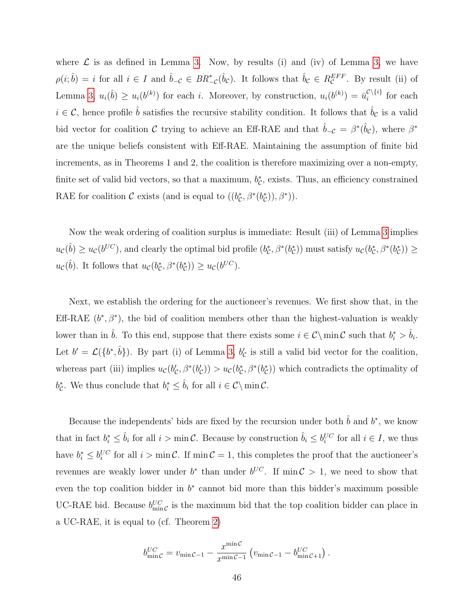where  $\mathcal L$  is as defined in Lemma [3.](#page-43-0) Now, by results (i) and (iv) of Lemma [3,](#page-43-0) we have  $\rho(i; \hat{b}) = i$  for all  $i \in I$  and  $\hat{b}_{-\mathcal{C}} \in BR^*_{-\mathcal{C}}(\hat{b}_{\mathcal{C}})$ . It follows that  $\hat{b}_{\mathcal{C}} \in R_{\mathcal{C}}^{EFF}$ . By result (ii) of Lemma [3,](#page-43-0)  $u_i(\hat{b}) \geq u_i(b^{(k)})$  for each i. Moreover, by construction,  $u_i(b^{(k)}) = \bar{u}_i^{\mathcal{C}\setminus\{i\}}$  $\sum_{i=1}^{k}$  for each  $i \in \mathcal{C}$ , hence profile  $\hat{b}$  satisfies the recursive stability condition. It follows that  $\hat{b}_\mathcal{C}$  is a valid bid vector for coalition C trying to achieve an Eff-RAE and that  $\hat{b}_{-C} = \beta^*(\hat{b}_C)$ , where  $\beta^*$ are the unique beliefs consistent with Eff-RAE. Maintaining the assumption of finite bid increments, as in Theorems 1 and 2, the coalition is therefore maximizing over a non-empty, finite set of valid bid vectors, so that a maximum,  $b_{\mathcal{C}}^*$ , exists. Thus, an efficiency constrained RAE for coalition  $\mathcal C$  exists (and is equal to  $((b_{\mathcal C}^*, \beta^*(b_{\mathcal C}^*)), \beta^*)$ ).

Now the weak ordering of coalition surplus is immediate: Result (iii) of Lemma [3](#page-43-0) implies  $u_c(\hat{b}) \geq u_c(b^{UC})$ , and clearly the optimal bid profile  $(b_c^*, \beta^*(b_c^*))$  must satisfy  $u_c(b_c^*, \beta^*(b_c^*)) \geq$  $u_{\mathcal{C}}(\hat{b})$ . It follows that  $u_{\mathcal{C}}(b_{\mathcal{C}}^*, \beta^*(b_{\mathcal{C}}^*)) \geq u_{\mathcal{C}}(b^{UC})$ .

Next, we establish the ordering for the auctioneer's revenues. We first show that, in the Eff-RAE  $(b^*, \beta^*)$ , the bid of coalition members other than the highest-valuation is weakly lower than in  $\hat{b}$ . To this end, suppose that there exists some  $i \in \mathcal{C} \setminus \min \mathcal{C}$  such that  $b_i^* > \hat{b}_i$ . Let  $b' = \mathcal{L}(\{b^*, \hat{b}\})$ . By part (i) of Lemma [3,](#page-43-0)  $b'_{\mathcal{C}}$  is still a valid bid vector for the coalition, whereas part (iii) implies  $u_c(b_c, \beta^*(b_c)) > u_c(b_c^*, \beta^*(b_c^*))$  which contradicts the optimality of  $b_{\mathcal{C}}^*$ . We thus conclude that  $b_i^* \leq \hat{b}_i$  for all  $i \in \mathcal{C} \setminus \min \mathcal{C}$ .

Because the independents' bids are fixed by the recursion under both  $\hat{b}$  and  $b^*$ , we know that in fact  $b_i^* \leq \hat{b}_i$  for all  $i > \min \mathcal{C}$ . Because by construction  $\hat{b}_i \leq b_i^{UC}$  for all  $i \in I$ , we thus have  $b_i^* \leq b_i^{UC}$  for all  $i > \min \mathcal{C}$ . If  $\min \mathcal{C} = 1$ , this completes the proof that the auctioneer's revenues are weakly lower under  $b^*$  than under  $b^{UC}$ . If min  $\mathcal{C} > 1$ , we need to show that even the top coalition bidder in  $b^*$  cannot bid more than this bidder's maximum possible UC-RAE bid. Because  $b_{\min\mathcal{C}}^{UC}$  is the maximum bid that the top coalition bidder can place in a UC-RAE, it is equal to (cf. Theorem [2\)](#page-17-1)

$$
b_{\min\mathcal{C}}^{UC} = v_{\min\mathcal{C}-1} - \frac{x^{\min\mathcal{C}}}{x^{\min\mathcal{C}-1}} \left( v_{\min\mathcal{C}-1} - b_{\min\mathcal{C}+1}^{UC} \right).
$$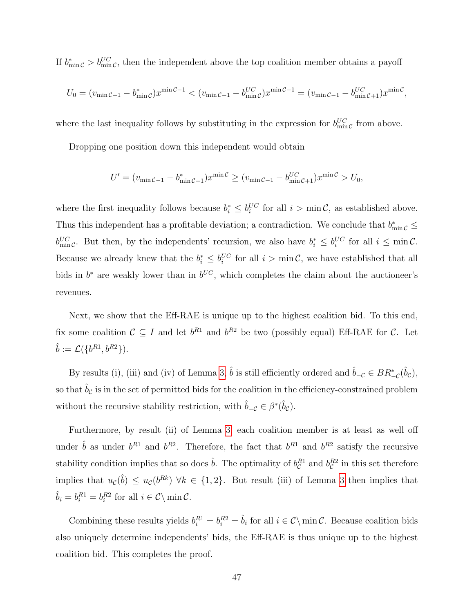If  $b_{\min\mathcal{C}}^* > b_{\min\mathcal{C}}^{UC}$ , then the independent above the top coalition member obtains a payoff

$$
U_0 = (v_{\min C-1} - b_{\min C}^*) x^{\min C-1} < (v_{\min C-1} - b_{\min C}^{UC}) x^{\min C-1} = (v_{\min C-1} - b_{\min C+1}^{UC}) x^{\min C},
$$

where the last inequality follows by substituting in the expression for  $b_{\min C}^{UC}$  from above.

Dropping one position down this independent would obtain

$$
U' = (v_{\min C-1} - b_{\min C+1}^*)x^{\min C} \ge (v_{\min C-1} - b_{\min C+1}^{UC})x^{\min C} > U_0,
$$

where the first inequality follows because  $b_i^* \leq b_i^{UC}$  for all  $i > \min \mathcal{C}$ , as established above. Thus this independent has a profitable deviation; a contradiction. We conclude that  $b_{\min\mathcal{C}}^* \leq$  $b_{\min\mathcal{C}}^{UC}$ . But then, by the independents' recursion, we also have  $b_i^* \leq b_i^{UC}$  for all  $i \leq \min\mathcal{C}$ . Because we already knew that the  $b_i^* \leq b_i^{UC}$  for all  $i > \min \mathcal{C}$ , we have established that all bids in  $b^*$  are weakly lower than in  $b^{UC}$ , which completes the claim about the auctioneer's revenues.

Next, we show that the Eff-RAE is unique up to the highest coalition bid. To this end, fix some coalition  $\mathcal{C} \subseteq I$  and let  $b^{R_1}$  and  $b^{R_2}$  be two (possibly equal) Eff-RAE for  $\mathcal{C}$ . Let  $\hat{b} := \mathcal{L}(\{b^{R1}, b^{R2}\}).$ 

By results (i), (iii) and (iv) of Lemma [3,](#page-43-0)  $\hat{b}$  is still efficiently ordered and  $\hat{b}_{-\mathcal{C}} \in BR^*_{-\mathcal{C}}(\hat{b}_{\mathcal{C}})$ , so that  $\hat{b}_c$  is in the set of permitted bids for the coalition in the efficiency-constrained problem without the recursive stability restriction, with  $\hat{b}_{-C} \in \beta^*(\hat{b}_C)$ .

Furthermore, by result (ii) of Lemma [3,](#page-43-0) each coalition member is at least as well off under  $\hat{b}$  as under  $b^{R1}$  and  $b^{R2}$ . Therefore, the fact that  $b^{R1}$  and  $b^{R2}$  satisfy the recursive stability condition implies that so does  $\hat{b}$ . The optimality of  $b_{\mathcal{C}}^{R1}$  and  $b_{\mathcal{C}}^{R2}$  in this set therefore implies that  $u_c(\hat{b}) \leq u_c(b^{Rk}) \ \forall k \in \{1,2\}$ . But result (iii) of Lemma [3](#page-43-0) then implies that  $\hat{b}_i = b_i^{R1} = b_i^{R2}$  for all  $i \in \mathcal{C} \setminus \min \mathcal{C}$ .

Combining these results yields  $b_i^{R1} = b_i^{R2} = \hat{b}_i$  for all  $i \in \mathcal{C} \setminus \min \mathcal{C}$ . Because coalition bids also uniquely determine independents' bids, the Eff-RAE is thus unique up to the highest coalition bid. This completes the proof.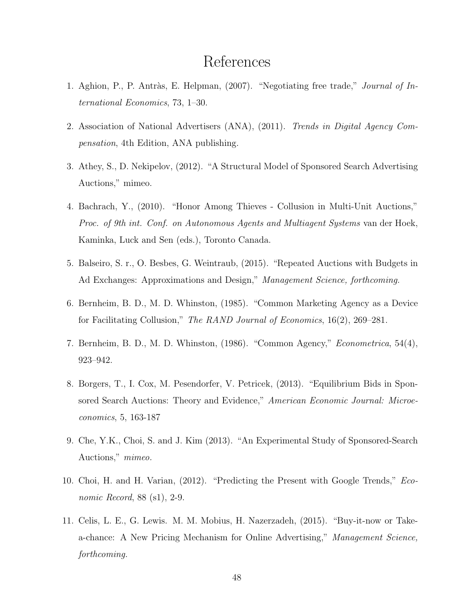## References

- 1. Aghion, P., P. Antràs, E. Helpman, (2007). "Negotiating free trade," *Journal of In*ternational Economics, 73, 1–30.
- 2. Association of National Advertisers (ANA), (2011). Trends in Digital Agency Compensation, 4th Edition, ANA publishing.
- 3. Athey, S., D. Nekipelov, (2012). "A Structural Model of Sponsored Search Advertising Auctions," mimeo.
- 4. Bachrach, Y., (2010). "Honor Among Thieves Collusion in Multi-Unit Auctions," Proc. of 9th int. Conf. on Autonomous Agents and Multiagent Systems van der Hoek, Kaminka, Luck and Sen (eds.), Toronto Canada.
- 5. Balseiro, S. r., O. Besbes, G. Weintraub, (2015). "Repeated Auctions with Budgets in Ad Exchanges: Approximations and Design," Management Science, forthcoming.
- 6. Bernheim, B. D., M. D. Whinston, (1985). "Common Marketing Agency as a Device for Facilitating Collusion," The RAND Journal of Economics, 16(2), 269–281.
- 7. Bernheim, B. D., M. D. Whinston, (1986). "Common Agency," Econometrica, 54(4), 923–942.
- 8. Borgers, T., I. Cox, M. Pesendorfer, V. Petricek, (2013). "Equilibrium Bids in Sponsored Search Auctions: Theory and Evidence," American Economic Journal: Microeconomics, 5, 163-187
- 9. Che, Y.K., Choi, S. and J. Kim (2013). "An Experimental Study of Sponsored-Search Auctions," mimeo.
- 10. Choi, H. and H. Varian, (2012). "Predicting the Present with Google Trends," Economic Record, 88 (s1), 2-9.
- 11. Celis, L. E., G. Lewis. M. M. Mobius, H. Nazerzadeh, (2015). "Buy-it-now or Takea-chance: A New Pricing Mechanism for Online Advertising," Management Science, forthcoming.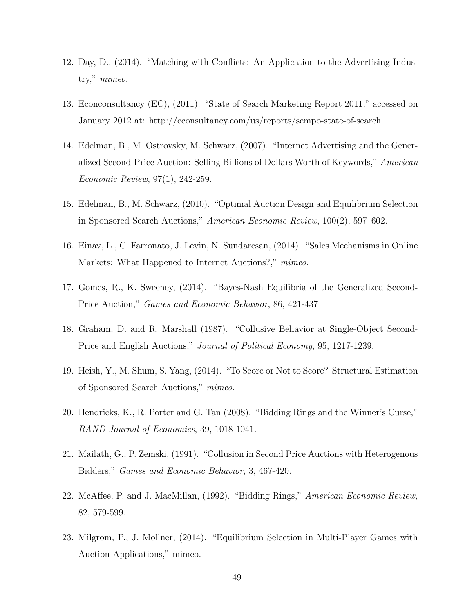- 12. Day, D., (2014). "Matching with Conflicts: An Application to the Advertising Industry," mimeo.
- 13. Econconsultancy (EC), (2011). "State of Search Marketing Report 2011," accessed on January 2012 at: http://econsultancy.com/us/reports/sempo-state-of-search
- 14. Edelman, B., M. Ostrovsky, M. Schwarz, (2007). "Internet Advertising and the Generalized Second-Price Auction: Selling Billions of Dollars Worth of Keywords," American Economic Review, 97(1), 242-259.
- 15. Edelman, B., M. Schwarz, (2010). "Optimal Auction Design and Equilibrium Selection in Sponsored Search Auctions," American Economic Review, 100(2), 597–602.
- 16. Einav, L., C. Farronato, J. Levin, N. Sundaresan, (2014). "Sales Mechanisms in Online Markets: What Happened to Internet Auctions?," mimeo.
- 17. Gomes, R., K. Sweeney, (2014). "Bayes-Nash Equilibria of the Generalized Second-Price Auction," Games and Economic Behavior, 86, 421-437
- 18. Graham, D. and R. Marshall (1987). "Collusive Behavior at Single-Object Second-Price and English Auctions," Journal of Political Economy, 95, 1217-1239.
- 19. Heish, Y., M. Shum, S. Yang, (2014). "To Score or Not to Score? Structural Estimation of Sponsored Search Auctions," mimeo.
- 20. Hendricks, K., R. Porter and G. Tan (2008). "Bidding Rings and the Winner's Curse," RAND Journal of Economics, 39, 1018-1041.
- 21. Mailath, G., P. Zemski, (1991). "Collusion in Second Price Auctions with Heterogenous Bidders," Games and Economic Behavior, 3, 467-420.
- 22. McAffee, P. and J. MacMillan, (1992). "Bidding Rings," American Economic Review, 82, 579-599.
- 23. Milgrom, P., J. Mollner, (2014). "Equilibrium Selection in Multi-Player Games with Auction Applications," mimeo.